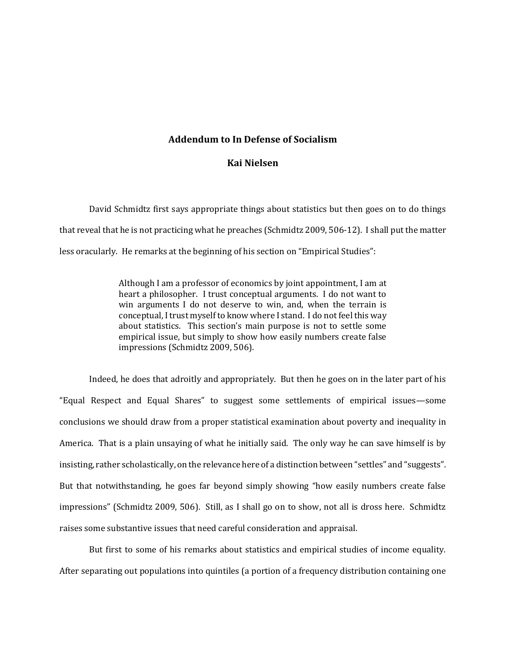## **Addendum to In Defense of Socialism**

## **Kai Nielsen**

David Schmidtz first says appropriate things about statistics but then goes on to do things that reveal that he is not practicing what he preaches (Schmidtz 2009, 506-12). I shall put the matter less oracularly. He remarks at the beginning of his section on "Empirical Studies":

> Although I am a professor of economics by joint appointment, I am at heart a philosopher. I trust conceptual arguments. I do not want to win arguments I do not deserve to win, and, when the terrain is conceptual, I trust myself to know where I stand. I do not feel this way about statistics. This section's main purpose is not to settle some empirical issue, but simply to show how easily numbers create false impressions (Schmidtz 2009, 506).

Indeed, he does that adroitly and appropriately. But then he goes on in the later part of his "Equal Respect and Equal Shares" to suggest some settlements of empirical issues—some conclusions we should draw from a proper statistical examination about poverty and inequality in America. That is a plain unsaying of what he initially said. The only way he can save himself is by insisting, rather scholastically, on the relevance here of a distinction between "settles" and "suggests". But that notwithstanding, he goes far beyond simply showing "how easily numbers create false impressions" (Schmidtz 2009, 506). Still, as I shall go on to show, not all is dross here. Schmidtz raises some substantive issues that need careful consideration and appraisal.

But first to some of his remarks about statistics and empirical studies of income equality. After separating out populations into quintiles (a portion of a frequency distribution containing one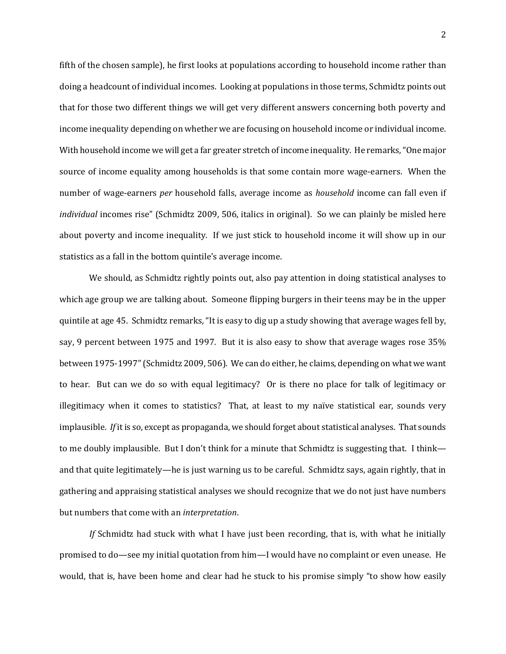fifth of the chosen sample), he first looks at populations according to household income rather than doing a headcount of individual incomes. Looking at populations in those terms, Schmidtz points out that for those two different things we will get very different answers concerning both poverty and income inequality depending on whether we are focusing on household income or individual income. With household income we will get a far greater stretch of income inequality. He remarks, "One major source of income equality among households is that some contain more wage-earners. When the number of wage-earners *per* household falls, average income as *household* income can fall even if *individual* incomes rise" (Schmidtz 2009, 506, italics in original). So we can plainly be misled here about poverty and income inequality. If we just stick to household income it will show up in our statistics as a fall in the bottom quintile's average income.

We should, as Schmidtz rightly points out, also pay attention in doing statistical analyses to which age group we are talking about. Someone flipping burgers in their teens may be in the upper quintile at age 45. Schmidtz remarks, "It is easy to dig up a study showing that average wages fell by, say, 9 percent between 1975 and 1997. But it is also easy to show that average wages rose 35% between 1975-1997" (Schmidtz 2009, 506). We can do either, he claims, depending on what we want to hear. But can we do so with equal legitimacy? Or is there no place for talk of legitimacy or illegitimacy when it comes to statistics? That, at least to my naïve statistical ear, sounds very implausible. *If* it is so, except as propaganda, we should forget about statistical analyses. That sounds to me doubly implausible. But I don't think for a minute that Schmidtz is suggesting that. I think and that quite legitimately—he is just warning us to be careful. Schmidtz says, again rightly, that in gathering and appraising statistical analyses we should recognize that we do not just have numbers but numbers that come with an *interpretation*.

*If* Schmidtz had stuck with what I have just been recording, that is, with what he initially promised to do—see my initial quotation from him—I would have no complaint or even unease. He would, that is, have been home and clear had he stuck to his promise simply "to show how easily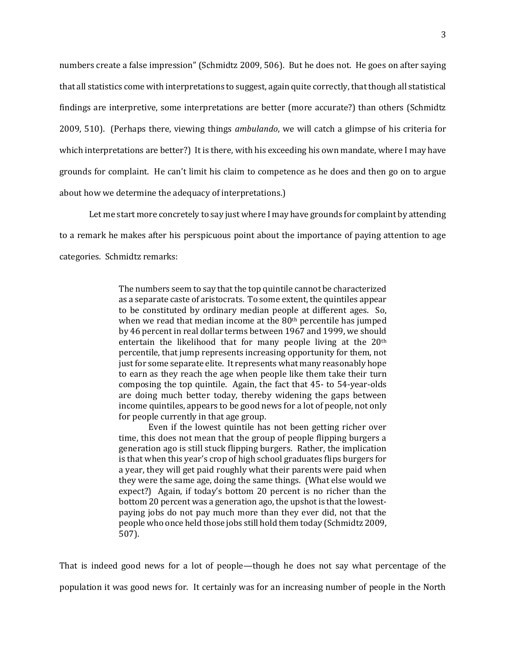numbers create a false impression" (Schmidtz 2009, 506). But he does not. He goes on after saying that all statistics come with interpretations to suggest, again quite correctly, that though all statistical findings are interpretive, some interpretations are better (more accurate?) than others (Schmidtz 2009, 510). (Perhaps there, viewing things *ambulando*, we will catch a glimpse of his criteria for which interpretations are better?) It is there, with his exceeding his own mandate, where I may have grounds for complaint. He can't limit his claim to competence as he does and then go on to argue about how we determine the adequacy of interpretations.)

Let me start more concretely to say just where I may have grounds for complaint by attending to a remark he makes after his perspicuous point about the importance of paying attention to age categories. Schmidtz remarks:

> The numbers seem to say that the top quintile cannot be characterized as a separate caste of aristocrats. To some extent, the quintiles appear to be constituted by ordinary median people at different ages. So, when we read that median income at the 80<sup>th</sup> percentile has jumped by 46 percent in real dollar terms between 1967 and 1999, we should entertain the likelihood that for many people living at the 20th percentile, that jump represents increasing opportunity for them, not just for some separate elite. It represents what many reasonably hope to earn as they reach the age when people like them take their turn composing the top quintile. Again, the fact that 45- to 54-year-olds are doing much better today, thereby widening the gaps between income quintiles, appears to be good news for a lot of people, not only for people currently in that age group.

> Even if the lowest quintile has not been getting richer over time, this does not mean that the group of people flipping burgers a generation ago is still stuck flipping burgers. Rather, the implication is that when this year's crop of high school graduates flips burgers for a year, they will get paid roughly what their parents were paid when they were the same age, doing the same things. (What else would we expect?) Again, if today's bottom 20 percent is no richer than the bottom 20 percent was a generation ago, the upshot is that the lowestpaying jobs do not pay much more than they ever did, not that the people who once held those jobs still hold them today (Schmidtz 2009, 507).

That is indeed good news for a lot of people—though he does not say what percentage of the population it was good news for. It certainly was for an increasing number of people in the North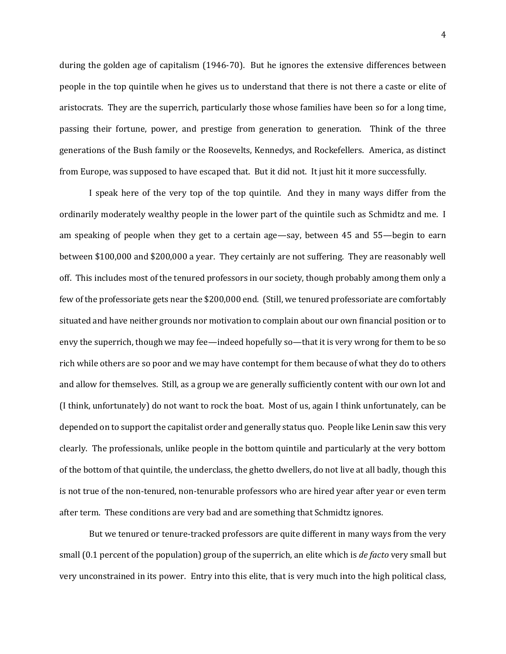during the golden age of capitalism (1946-70). But he ignores the extensive differences between people in the top quintile when he gives us to understand that there is not there a caste or elite of aristocrats. They are the superrich, particularly those whose families have been so for a long time, passing their fortune, power, and prestige from generation to generation. Think of the three generations of the Bush family or the Roosevelts, Kennedys, and Rockefellers. America, as distinct from Europe, was supposed to have escaped that. But it did not. It just hit it more successfully.

I speak here of the very top of the top quintile. And they in many ways differ from the ordinarily moderately wealthy people in the lower part of the quintile such as Schmidtz and me. I am speaking of people when they get to a certain age—say, between 45 and 55—begin to earn between \$100,000 and \$200,000 a year. They certainly are not suffering. They are reasonably well off. This includes most of the tenured professors in our society, though probably among them only a few of the professoriate gets near the \$200,000 end. (Still, we tenured professoriate are comfortably situated and have neither grounds nor motivation to complain about our own financial position or to envy the superrich, though we may fee—indeed hopefully so—that it is very wrong for them to be so rich while others are so poor and we may have contempt for them because of what they do to others and allow for themselves. Still, as a group we are generally sufficiently content with our own lot and (I think, unfortunately) do not want to rock the boat. Most of us, again I think unfortunately, can be depended on to support the capitalist order and generally status quo. People like Lenin saw this very clearly. The professionals, unlike people in the bottom quintile and particularly at the very bottom of the bottom of that quintile, the underclass, the ghetto dwellers, do not live at all badly, though this is not true of the non-tenured, non-tenurable professors who are hired year after year or even term after term. These conditions are very bad and are something that Schmidtz ignores.

But we tenured or tenure-tracked professors are quite different in many ways from the very small (0.1 percent of the population) group of the superrich, an elite which is *de facto* very small but very unconstrained in its power. Entry into this elite, that is very much into the high political class,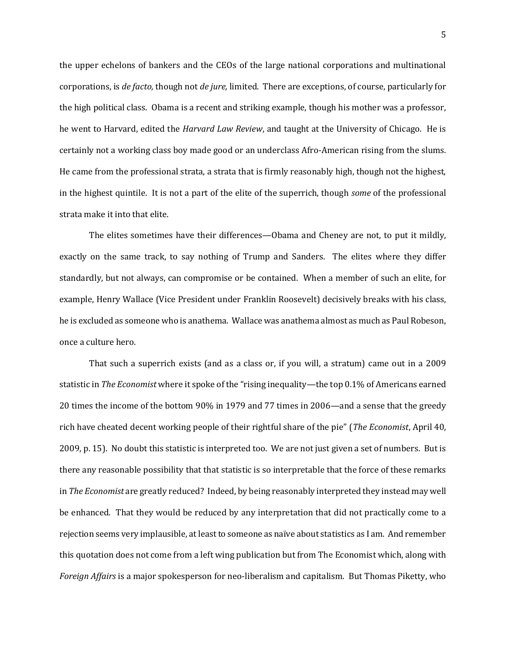the upper echelons of bankers and the CEOs of the large national corporations and multinational corporations, is *de facto,* though not *de jure,* limited. There are exceptions, of course, particularly for the high political class. Obama is a recent and striking example, though his mother was a professor, he went to Harvard, edited the *Harvard Law Review*, and taught at the University of Chicago. He is certainly not a working class boy made good or an underclass Afro-American rising from the slums. He came from the professional strata, a strata that is firmly reasonably high, though not the highest, in the highest quintile. It is not a part of the elite of the superrich, though *some* of the professional strata make it into that elite.

The elites sometimes have their differences—Obama and Cheney are not, to put it mildly, exactly on the same track, to say nothing of Trump and Sanders. The elites where they differ standardly, but not always, can compromise or be contained. When a member of such an elite, for example, Henry Wallace (Vice President under Franklin Roosevelt) decisively breaks with his class, he is excluded as someone who is anathema. Wallace was anathema almost as much as Paul Robeson, once a culture hero.

That such a superrich exists (and as a class or, if you will, a stratum) came out in a 2009 statistic in *The Economist* where it spoke of the "rising inequality—the top 0.1% of Americans earned 20 times the income of the bottom 90% in 1979 and 77 times in 2006—and a sense that the greedy rich have cheated decent working people of their rightful share of the pie" (*The Economist*, April 40, 2009, p. 15). No doubt this statistic is interpreted too. We are not just given a set of numbers. But is there any reasonable possibility that that statistic is so interpretable that the force of these remarks in *The Economist* are greatly reduced? Indeed, by being reasonably interpreted they instead may well be enhanced. That they would be reduced by any interpretation that did not practically come to a rejection seems very implausible, at least to someone as naïve about statistics as I am. And remember this quotation does not come from a left wing publication but from The Economist which, along with *Foreign Affairs* is a major spokesperson for neo-liberalism and capitalism. But Thomas Piketty, who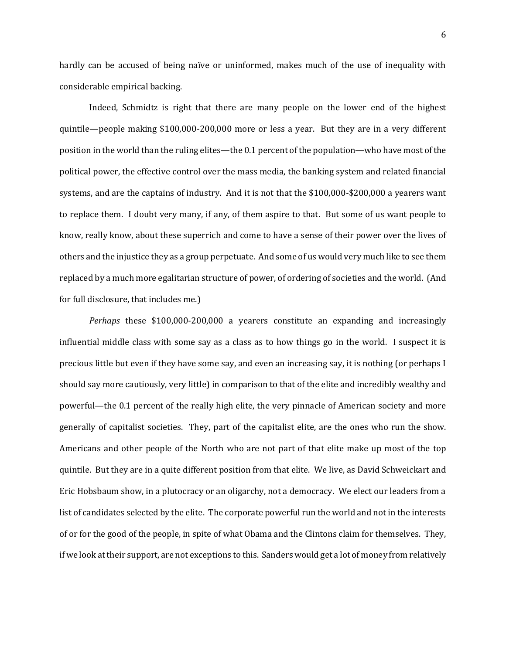hardly can be accused of being naïve or uninformed, makes much of the use of inequality with considerable empirical backing.

Indeed, Schmidtz is right that there are many people on the lower end of the highest quintile—people making \$100,000-200,000 more or less a year. But they are in a very different position in the world than the ruling elites—the 0.1 percent of the population—who have most of the political power, the effective control over the mass media, the banking system and related financial systems, and are the captains of industry. And it is not that the \$100,000-\$200,000 a yearers want to replace them. I doubt very many, if any, of them aspire to that. But some of us want people to know, really know, about these superrich and come to have a sense of their power over the lives of others and the injustice they as a group perpetuate. And some of us would very much like to see them replaced by a much more egalitarian structure of power, of ordering of societies and the world. (And for full disclosure, that includes me.)

*Perhaps* these \$100,000-200,000 a yearers constitute an expanding and increasingly influential middle class with some say as a class as to how things go in the world. I suspect it is precious little but even if they have some say, and even an increasing say, it is nothing (or perhaps I should say more cautiously, very little) in comparison to that of the elite and incredibly wealthy and powerful—the 0.1 percent of the really high elite, the very pinnacle of American society and more generally of capitalist societies. They, part of the capitalist elite, are the ones who run the show. Americans and other people of the North who are not part of that elite make up most of the top quintile. But they are in a quite different position from that elite. We live, as David Schweickart and Eric Hobsbaum show, in a plutocracy or an oligarchy, not a democracy. We elect our leaders from a list of candidates selected by the elite. The corporate powerful run the world and not in the interests of or for the good of the people, in spite of what Obama and the Clintons claim for themselves. They, if we look at their support, are not exceptions to this. Sanders would get a lot of money from relatively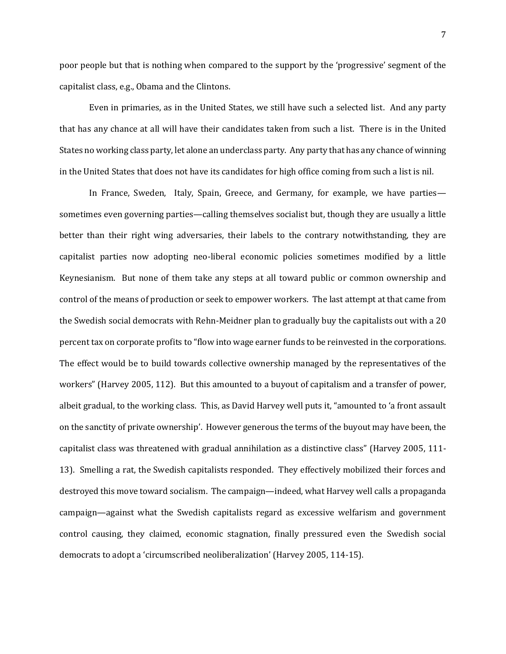poor people but that is nothing when compared to the support by the 'progressive' segment of the capitalist class, e.g., Obama and the Clintons.

Even in primaries, as in the United States, we still have such a selected list. And any party that has any chance at all will have their candidates taken from such a list. There is in the United States no working class party, let alone an underclass party. Any party that has any chance of winning in the United States that does not have its candidates for high office coming from such a list is nil.

In France, Sweden, Italy, Spain, Greece, and Germany, for example, we have parties sometimes even governing parties—calling themselves socialist but, though they are usually a little better than their right wing adversaries, their labels to the contrary notwithstanding, they are capitalist parties now adopting neo-liberal economic policies sometimes modified by a little Keynesianism. But none of them take any steps at all toward public or common ownership and control of the means of production or seek to empower workers. The last attempt at that came from the Swedish social democrats with Rehn-Meidner plan to gradually buy the capitalists out with a 20 percent tax on corporate profits to "flow into wage earner funds to be reinvested in the corporations. The effect would be to build towards collective ownership managed by the representatives of the workers" (Harvey 2005, 112). But this amounted to a buyout of capitalism and a transfer of power, albeit gradual, to the working class. This, as David Harvey well puts it, "amounted to 'a front assault on the sanctity of private ownership'. However generous the terms of the buyout may have been, the capitalist class was threatened with gradual annihilation as a distinctive class" (Harvey 2005, 111- 13). Smelling a rat, the Swedish capitalists responded. They effectively mobilized their forces and destroyed this move toward socialism. The campaign—indeed, what Harvey well calls a propaganda campaign—against what the Swedish capitalists regard as excessive welfarism and government control causing, they claimed, economic stagnation, finally pressured even the Swedish social democrats to adopt a 'circumscribed neoliberalization' (Harvey 2005, 114-15).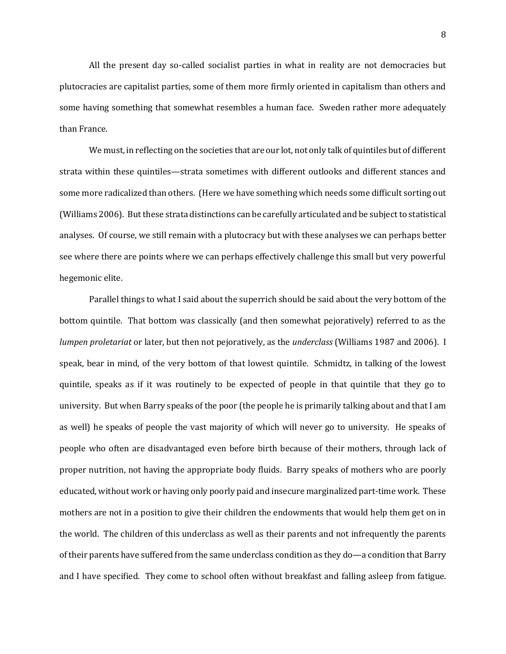All the present day so-called socialist parties in what in reality are not democracies but plutocracies are capitalist parties, some of them more firmly oriented in capitalism than others and some having something that somewhat resembles a human face. Sweden rather more adequately than France.

We must, in reflecting on the societies that are our lot, not only talk of quintiles but of different strata within these quintiles—strata sometimes with different outlooks and different stances and some more radicalized than others. (Here we have something which needs some difficult sorting out (Williams 2006). But these strata distinctions can be carefully articulated and be subject to statistical analyses. Of course, we still remain with a plutocracy but with these analyses we can perhaps better see where there are points where we can perhaps effectively challenge this small but very powerful hegemonic elite.

Parallel things to what I said about the superrich should be said about the very bottom of the bottom quintile. That bottom was classically (and then somewhat pejoratively) referred to as the *lumpen proletariat* or later, but then not pejoratively, as the *underclass* (Williams 1987 and 2006). I speak, bear in mind, of the very bottom of that lowest quintile. Schmidtz, in talking of the lowest quintile, speaks as if it was routinely to be expected of people in that quintile that they go to university. But when Barry speaks of the poor (the people he is primarily talking about and that I am as well) he speaks of people the vast majority of which will never go to university. He speaks of people who often are disadvantaged even before birth because of their mothers, through lack of proper nutrition, not having the appropriate body fluids. Barry speaks of mothers who are poorly educated, without work or having only poorly paid and insecure marginalized part-time work. These mothers are not in a position to give their children the endowments that would help them get on in the world. The children of this underclass as well as their parents and not infrequently the parents of their parents have suffered from the same underclass condition as they do—a condition that Barry and I have specified. They come to school often without breakfast and falling asleep from fatigue.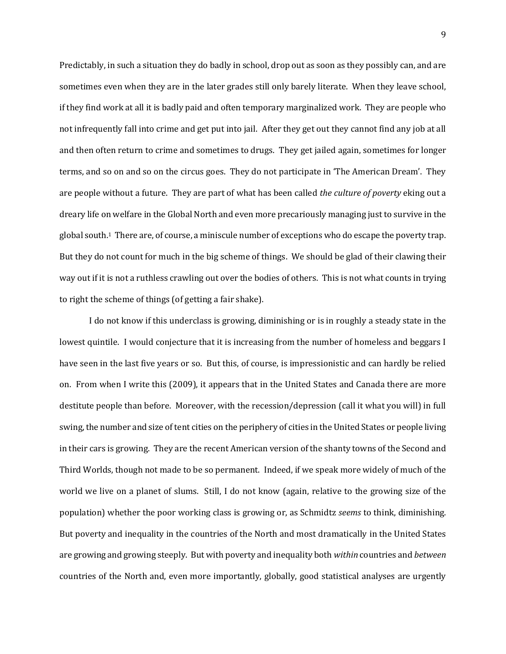Predictably, in such a situation they do badly in school, drop out as soon as they possibly can, and are sometimes even when they are in the later grades still only barely literate. When they leave school, if they find work at all it is badly paid and often temporary marginalized work. They are people who not infrequently fall into crime and get put into jail. After they get out they cannot find any job at all and then often return to crime and sometimes to drugs. They get jailed again, sometimes for longer terms, and so on and so on the circus goes. They do not participate in 'The American Dream'. They are people without a future. They are part of what has been called *the culture of poverty* eking out a dreary life on welfare in the Global North and even more precariously managing just to survive in the global south.1 There are, of course, a miniscule number of exceptions who do escape the poverty trap. But they do not count for much in the big scheme of things. We should be glad of their clawing their way out if it is not a ruthless crawling out over the bodies of others. This is not what counts in trying to right the scheme of things (of getting a fair shake).

I do not know if this underclass is growing, diminishing or is in roughly a steady state in the lowest quintile. I would conjecture that it is increasing from the number of homeless and beggars I have seen in the last five years or so. But this, of course, is impressionistic and can hardly be relied on. From when I write this (2009), it appears that in the United States and Canada there are more destitute people than before. Moreover, with the recession/depression (call it what you will) in full swing, the number and size of tent cities on the periphery of cities in the United States or people living in their cars is growing. They are the recent American version of the shanty towns of the Second and Third Worlds, though not made to be so permanent. Indeed, if we speak more widely of much of the world we live on a planet of slums. Still, I do not know (again, relative to the growing size of the population) whether the poor working class is growing or, as Schmidtz *seems* to think, diminishing. But poverty and inequality in the countries of the North and most dramatically in the United States are growing and growing steeply. But with poverty and inequality both *within* countries and *between*  countries of the North and, even more importantly, globally, good statistical analyses are urgently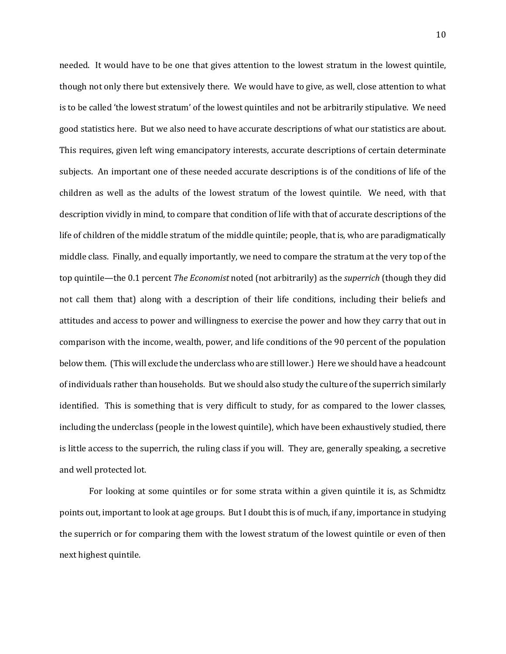needed. It would have to be one that gives attention to the lowest stratum in the lowest quintile, though not only there but extensively there. We would have to give, as well, close attention to what is to be called 'the lowest stratum' of the lowest quintiles and not be arbitrarily stipulative. We need good statistics here. But we also need to have accurate descriptions of what our statistics are about. This requires, given left wing emancipatory interests, accurate descriptions of certain determinate subjects. An important one of these needed accurate descriptions is of the conditions of life of the children as well as the adults of the lowest stratum of the lowest quintile. We need, with that description vividly in mind, to compare that condition of life with that of accurate descriptions of the life of children of the middle stratum of the middle quintile; people, that is, who are paradigmatically middle class. Finally, and equally importantly, we need to compare the stratum at the very top of the top quintile—the 0.1 percent *The Economist* noted (not arbitrarily) as the *superrich* (though they did not call them that) along with a description of their life conditions, including their beliefs and attitudes and access to power and willingness to exercise the power and how they carry that out in comparison with the income, wealth, power, and life conditions of the 90 percent of the population below them. (This will exclude the underclass who are still lower.) Here we should have a headcount of individuals rather than households. But we should also study the culture of the superrich similarly identified. This is something that is very difficult to study, for as compared to the lower classes, including the underclass (people in the lowest quintile), which have been exhaustively studied, there is little access to the superrich, the ruling class if you will. They are, generally speaking, a secretive and well protected lot.

For looking at some quintiles or for some strata within a given quintile it is, as Schmidtz points out, important to look at age groups. But I doubt this is of much, if any, importance in studying the superrich or for comparing them with the lowest stratum of the lowest quintile or even of then next highest quintile.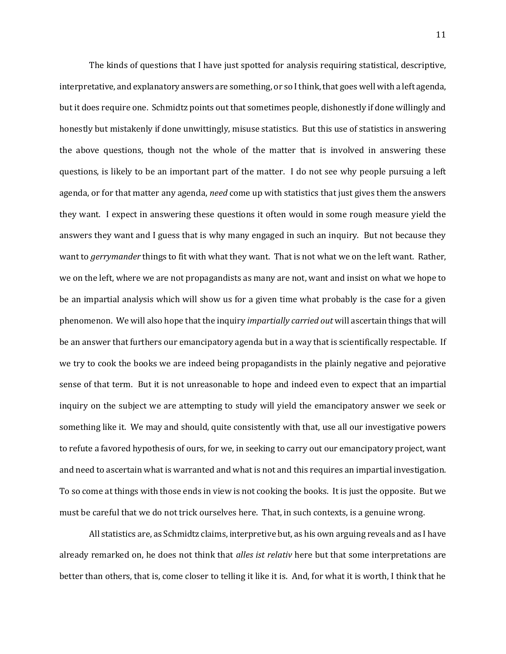The kinds of questions that I have just spotted for analysis requiring statistical, descriptive, interpretative, and explanatory answers are something, or so I think, that goes well with a left agenda, but it does require one. Schmidtz points out that sometimes people, dishonestly if done willingly and honestly but mistakenly if done unwittingly, misuse statistics. But this use of statistics in answering the above questions, though not the whole of the matter that is involved in answering these questions, is likely to be an important part of the matter. I do not see why people pursuing a left agenda, or for that matter any agenda, *need* come up with statistics that just gives them the answers they want. I expect in answering these questions it often would in some rough measure yield the answers they want and I guess that is why many engaged in such an inquiry. But not because they want to *gerrymander* things to fit with what they want. That is not what we on the left want. Rather, we on the left, where we are not propagandists as many are not, want and insist on what we hope to be an impartial analysis which will show us for a given time what probably is the case for a given phenomenon. We will also hope that the inquiry *impartially carried out* will ascertain things that will be an answer that furthers our emancipatory agenda but in a way that is scientifically respectable. If we try to cook the books we are indeed being propagandists in the plainly negative and pejorative sense of that term. But it is not unreasonable to hope and indeed even to expect that an impartial inquiry on the subject we are attempting to study will yield the emancipatory answer we seek or something like it. We may and should, quite consistently with that, use all our investigative powers to refute a favored hypothesis of ours, for we, in seeking to carry out our emancipatory project, want and need to ascertain what is warranted and what is not and this requires an impartial investigation. To so come at things with those ends in view is not cooking the books. It is just the opposite. But we must be careful that we do not trick ourselves here. That, in such contexts, is a genuine wrong.

All statistics are, as Schmidtz claims, interpretive but, as his own arguing reveals and as I have already remarked on, he does not think that *alles ist relativ* here but that some interpretations are better than others, that is, come closer to telling it like it is. And, for what it is worth, I think that he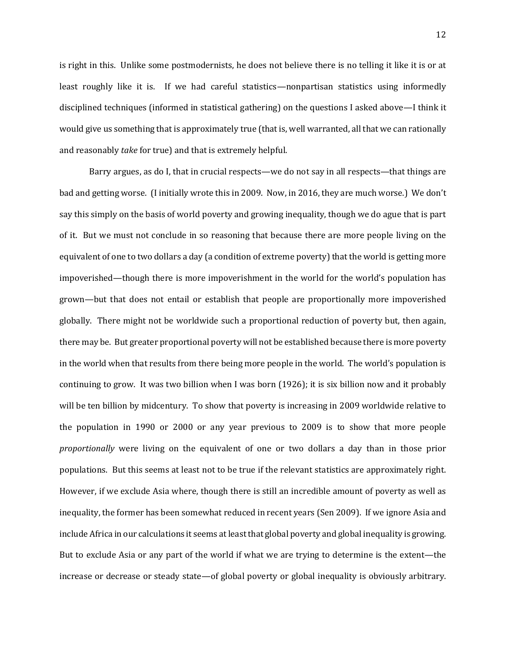is right in this. Unlike some postmodernists, he does not believe there is no telling it like it is or at least roughly like it is. If we had careful statistics—nonpartisan statistics using informedly disciplined techniques (informed in statistical gathering) on the questions I asked above—I think it would give us something that is approximately true (that is, well warranted, all that we can rationally and reasonably *take* for true) and that is extremely helpful.

Barry argues, as do I, that in crucial respects—we do not say in all respects—that things are bad and getting worse. (I initially wrote this in 2009. Now, in 2016, they are much worse.) We don't say this simply on the basis of world poverty and growing inequality, though we do ague that is part of it. But we must not conclude in so reasoning that because there are more people living on the equivalent of one to two dollars a day (a condition of extreme poverty) that the world is getting more impoverished—though there is more impoverishment in the world for the world's population has grown—but that does not entail or establish that people are proportionally more impoverished globally. There might not be worldwide such a proportional reduction of poverty but, then again, there may be. But greater proportional poverty will not be established because there is more poverty in the world when that results from there being more people in the world. The world's population is continuing to grow. It was two billion when I was born (1926); it is six billion now and it probably will be ten billion by midcentury. To show that poverty is increasing in 2009 worldwide relative to the population in 1990 or 2000 or any year previous to 2009 is to show that more people *proportionally* were living on the equivalent of one or two dollars a day than in those prior populations. But this seems at least not to be true if the relevant statistics are approximately right. However, if we exclude Asia where, though there is still an incredible amount of poverty as well as inequality, the former has been somewhat reduced in recent years (Sen 2009). If we ignore Asia and include Africa in our calculations it seems at least that global poverty and global inequality is growing. But to exclude Asia or any part of the world if what we are trying to determine is the extent—the increase or decrease or steady state—of global poverty or global inequality is obviously arbitrary.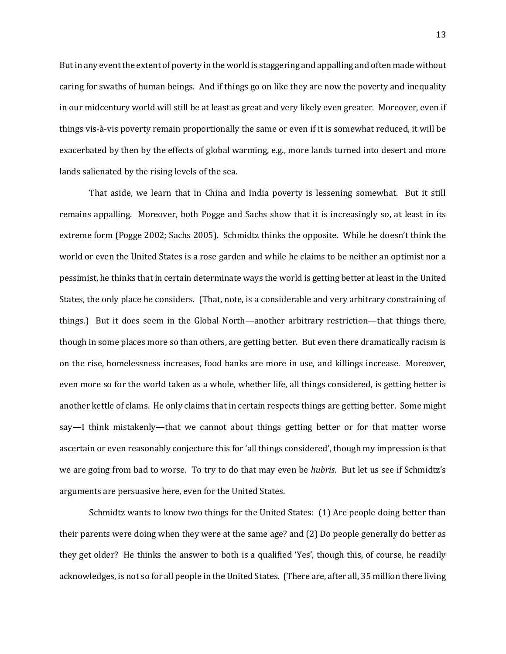But in any event the extent of poverty in the world is staggering and appalling and often made without caring for swaths of human beings. And if things go on like they are now the poverty and inequality in our midcentury world will still be at least as great and very likely even greater. Moreover, even if things vis-à-vis poverty remain proportionally the same or even if it is somewhat reduced, it will be exacerbated by then by the effects of global warming, e.g., more lands turned into desert and more lands salienated by the rising levels of the sea.

That aside, we learn that in China and India poverty is lessening somewhat. But it still remains appalling. Moreover, both Pogge and Sachs show that it is increasingly so, at least in its extreme form (Pogge 2002; Sachs 2005). Schmidtz thinks the opposite. While he doesn't think the world or even the United States is a rose garden and while he claims to be neither an optimist nor a pessimist, he thinks that in certain determinate ways the world is getting better at least in the United States, the only place he considers. (That, note, is a considerable and very arbitrary constraining of things.) But it does seem in the Global North—another arbitrary restriction—that things there, though in some places more so than others, are getting better. But even there dramatically racism is on the rise, homelessness increases, food banks are more in use, and killings increase. Moreover, even more so for the world taken as a whole, whether life, all things considered, is getting better is another kettle of clams. He only claims that in certain respects things are getting better. Some might say—I think mistakenly—that we cannot about things getting better or for that matter worse ascertain or even reasonably conjecture this for 'all things considered', though my impression is that we are going from bad to worse. To try to do that may even be *hubris*. But let us see if Schmidtz's arguments are persuasive here, even for the United States.

Schmidtz wants to know two things for the United States: (1) Are people doing better than their parents were doing when they were at the same age? and (2) Do people generally do better as they get older? He thinks the answer to both is a qualified 'Yes', though this, of course, he readily acknowledges, is not so for all people in the United States. (There are, after all, 35 million there living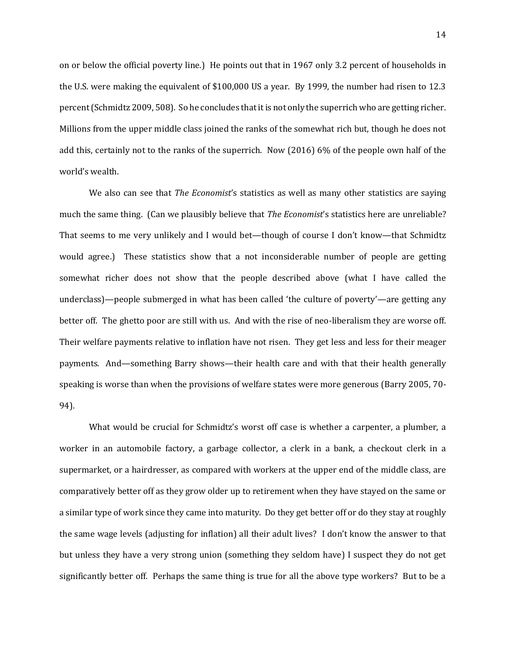on or below the official poverty line.) He points out that in 1967 only 3.2 percent of households in the U.S. were making the equivalent of \$100,000 US a year. By 1999, the number had risen to 12.3 percent (Schmidtz 2009, 508). So he concludes that it is not only the superrich who are getting richer. Millions from the upper middle class joined the ranks of the somewhat rich but, though he does not add this, certainly not to the ranks of the superrich. Now (2016) 6% of the people own half of the world's wealth.

We also can see that *The Economist*'s statistics as well as many other statistics are saying much the same thing. (Can we plausibly believe that *The Economist*'s statistics here are unreliable? That seems to me very unlikely and I would bet—though of course I don't know—that Schmidtz would agree.) These statistics show that a not inconsiderable number of people are getting somewhat richer does not show that the people described above (what I have called the underclass)—people submerged in what has been called 'the culture of poverty'—are getting any better off. The ghetto poor are still with us. And with the rise of neo-liberalism they are worse off. Their welfare payments relative to inflation have not risen. They get less and less for their meager payments. And—something Barry shows—their health care and with that their health generally speaking is worse than when the provisions of welfare states were more generous (Barry 2005, 70- 94).

What would be crucial for Schmidtz's worst off case is whether a carpenter, a plumber, a worker in an automobile factory, a garbage collector, a clerk in a bank, a checkout clerk in a supermarket, or a hairdresser, as compared with workers at the upper end of the middle class, are comparatively better off as they grow older up to retirement when they have stayed on the same or a similar type of work since they came into maturity. Do they get better off or do they stay at roughly the same wage levels (adjusting for inflation) all their adult lives? I don't know the answer to that but unless they have a very strong union (something they seldom have) I suspect they do not get significantly better off. Perhaps the same thing is true for all the above type workers? But to be a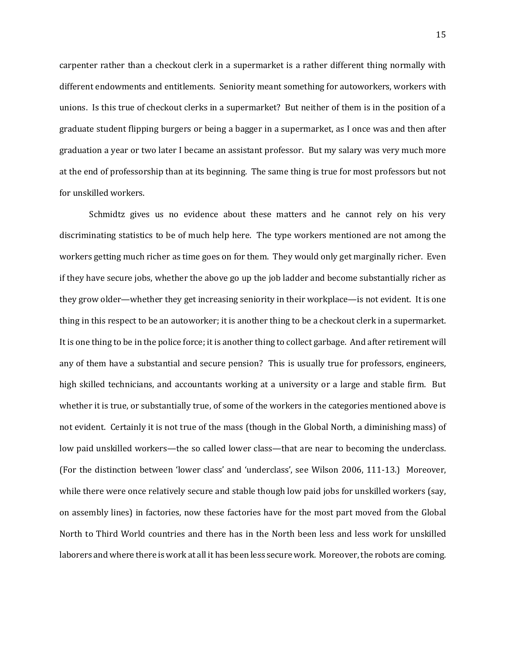carpenter rather than a checkout clerk in a supermarket is a rather different thing normally with different endowments and entitlements. Seniority meant something for autoworkers, workers with unions. Is this true of checkout clerks in a supermarket? But neither of them is in the position of a graduate student flipping burgers or being a bagger in a supermarket, as I once was and then after graduation a year or two later I became an assistant professor. But my salary was very much more at the end of professorship than at its beginning. The same thing is true for most professors but not for unskilled workers.

Schmidtz gives us no evidence about these matters and he cannot rely on his very discriminating statistics to be of much help here. The type workers mentioned are not among the workers getting much richer as time goes on for them. They would only get marginally richer. Even if they have secure jobs, whether the above go up the job ladder and become substantially richer as they grow older—whether they get increasing seniority in their workplace—is not evident. It is one thing in this respect to be an autoworker; it is another thing to be a checkout clerk in a supermarket. It is one thing to be in the police force; it is another thing to collect garbage. And after retirement will any of them have a substantial and secure pension? This is usually true for professors, engineers, high skilled technicians, and accountants working at a university or a large and stable firm. But whether it is true, or substantially true, of some of the workers in the categories mentioned above is not evident. Certainly it is not true of the mass (though in the Global North, a diminishing mass) of low paid unskilled workers—the so called lower class—that are near to becoming the underclass. (For the distinction between 'lower class' and 'underclass', see Wilson 2006, 111-13.) Moreover, while there were once relatively secure and stable though low paid jobs for unskilled workers (say, on assembly lines) in factories, now these factories have for the most part moved from the Global North to Third World countries and there has in the North been less and less work for unskilled laborers and where there is work at all it has been less secure work. Moreover, the robots are coming.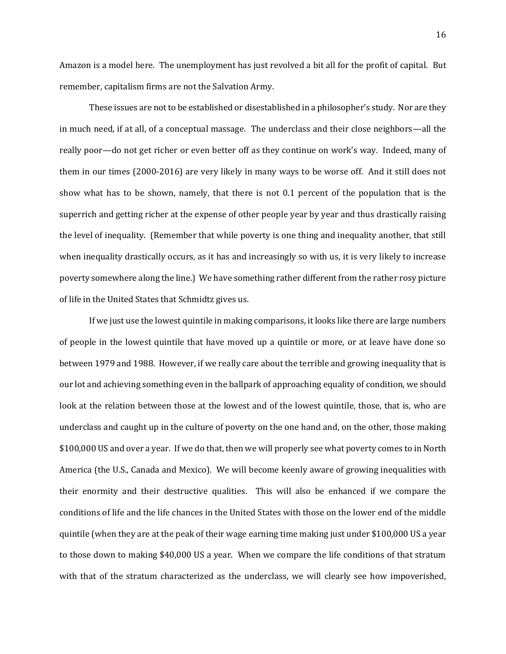Amazon is a model here. The unemployment has just revolved a bit all for the profit of capital. But remember, capitalism firms are not the Salvation Army.

These issues are not to be established or disestablished in a philosopher's study. Nor are they in much need, if at all, of a conceptual massage. The underclass and their close neighbors—all the really poor—do not get richer or even better off as they continue on work's way. Indeed, many of them in our times (2000-2016) are very likely in many ways to be worse off. And it still does not show what has to be shown, namely, that there is not 0.1 percent of the population that is the superrich and getting richer at the expense of other people year by year and thus drastically raising the level of inequality. (Remember that while poverty is one thing and inequality another, that still when inequality drastically occurs, as it has and increasingly so with us, it is very likely to increase poverty somewhere along the line.) We have something rather different from the rather rosy picture of life in the United States that Schmidtz gives us.

If we just use the lowest quintile in making comparisons, it looks like there are large numbers of people in the lowest quintile that have moved up a quintile or more, or at leave have done so between 1979 and 1988. However, if we really care about the terrible and growing inequality that is our lot and achieving something even in the ballpark of approaching equality of condition, we should look at the relation between those at the lowest and of the lowest quintile, those, that is, who are underclass and caught up in the culture of poverty on the one hand and, on the other, those making \$100,000 US and over a year. If we do that, then we will properly see what poverty comes to in North America (the U.S., Canada and Mexico). We will become keenly aware of growing inequalities with their enormity and their destructive qualities. This will also be enhanced if we compare the conditions of life and the life chances in the United States with those on the lower end of the middle quintile (when they are at the peak of their wage earning time making just under \$100,000 US a year to those down to making \$40,000 US a year. When we compare the life conditions of that stratum with that of the stratum characterized as the underclass, we will clearly see how impoverished,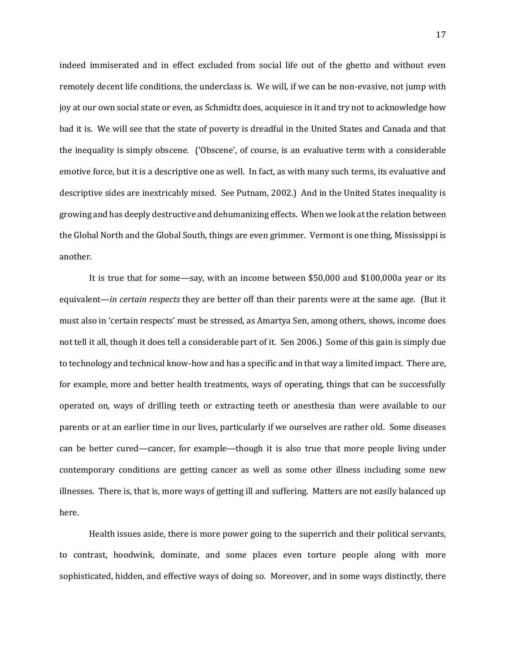indeed immiserated and in effect excluded from social life out of the ghetto and without even remotely decent life conditions, the underclass is. We will, if we can be non-evasive, not jump with joy at our own social state or even, as Schmidtz does, acquiesce in it and try not to acknowledge how bad it is. We will see that the state of poverty is dreadful in the United States and Canada and that the inequality is simply obscene. ('Obscene', of course, is an evaluative term with a considerable emotive force, but it is a descriptive one as well. In fact, as with many such terms, its evaluative and descriptive sides are inextricably mixed. See Putnam, 2002.) And in the United States inequality is growing and has deeply destructive and dehumanizing effects. When we look at the relation between the Global North and the Global South, things are even grimmer. Vermont is one thing, Mississippi is another.

It is true that for some—say, with an income between \$50,000 and \$100,000a year or its equivalent—*in certain respects* they are better off than their parents were at the same age. (But it must also in 'certain respects' must be stressed, as Amartya Sen, among others, shows, income does not tell it all, though it does tell a considerable part of it. Sen 2006.) Some of this gain is simply due to technology and technical know-how and has a specific and in that way a limited impact. There are, for example, more and better health treatments, ways of operating, things that can be successfully operated on, ways of drilling teeth or extracting teeth or anesthesia than were available to our parents or at an earlier time in our lives, particularly if we ourselves are rather old. Some diseases can be better cured—cancer, for example—though it is also true that more people living under contemporary conditions are getting cancer as well as some other illness including some new illnesses. There is, that is, more ways of getting ill and suffering. Matters are not easily balanced up here.

Health issues aside, there is more power going to the superrich and their political servants, to contrast, hoodwink, dominate, and some places even torture people along with more sophisticated, hidden, and effective ways of doing so. Moreover, and in some ways distinctly, there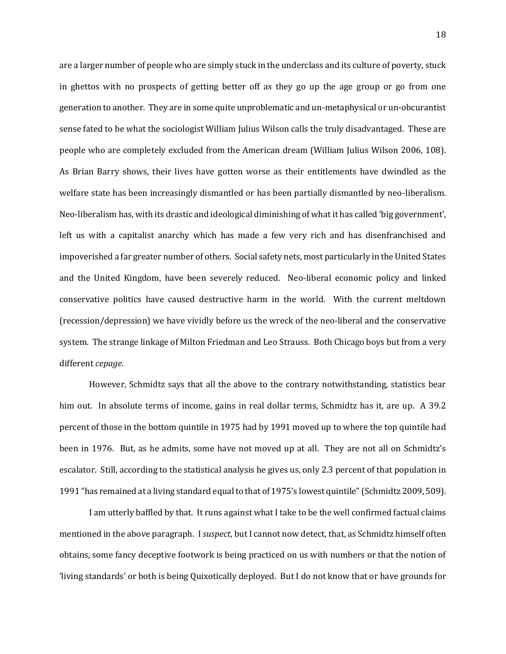are a larger number of people who are simply stuck in the underclass and its culture of poverty, stuck in ghettos with no prospects of getting better off as they go up the age group or go from one generation to another. They are in some quite unproblematic and un-metaphysical or un-obcurantist sense fated to be what the sociologist William Julius Wilson calls the truly disadvantaged. These are people who are completely excluded from the American dream (William Julius Wilson 2006, 108). As Brian Barry shows, their lives have gotten worse as their entitlements have dwindled as the welfare state has been increasingly dismantled or has been partially dismantled by neo-liberalism. Neo-liberalism has, with its drastic and ideological diminishing of what it has called 'big government', left us with a capitalist anarchy which has made a few very rich and has disenfranchised and impoverished a far greater number of others. Social safety nets, most particularly in the United States and the United Kingdom, have been severely reduced. Neo-liberal economic policy and linked conservative politics have caused destructive harm in the world. With the current meltdown (recession/depression) we have vividly before us the wreck of the neo-liberal and the conservative system. The strange linkage of Milton Friedman and Leo Strauss. Both Chicago boys but from a very different *cepage*.

However, Schmidtz says that all the above to the contrary notwithstanding, statistics bear him out. In absolute terms of income, gains in real dollar terms, Schmidtz has it, are up. A 39.2 percent of those in the bottom quintile in 1975 had by 1991 moved up to where the top quintile had been in 1976. But, as he admits, some have not moved up at all. They are not all on Schmidtz's escalator. Still, according to the statistical analysis he gives us, only 2.3 percent of that population in 1991 "has remained at a living standard equal to that of 1975's lowest quintile" (Schmidtz 2009, 509).

I am utterly baffled by that. It runs against what I take to be the well confirmed factual claims mentioned in the above paragraph. I *suspect*, but I cannot now detect, that, as Schmidtz himself often obtains, some fancy deceptive footwork is being practiced on us with numbers or that the notion of 'living standards' or both is being Quixotically deployed. But I do not know that or have grounds for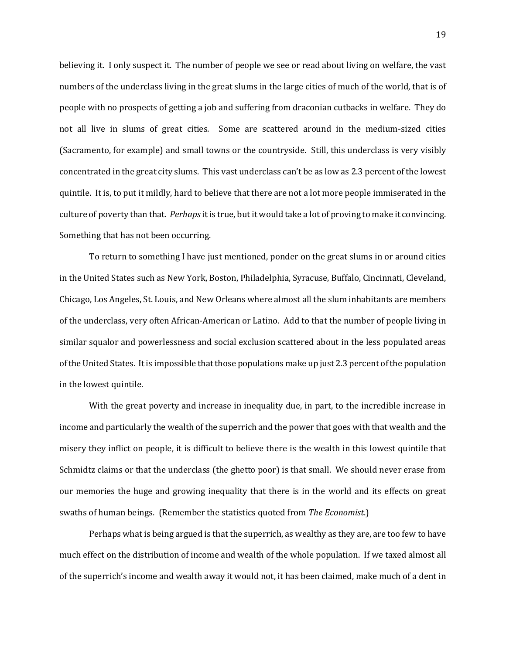believing it. I only suspect it. The number of people we see or read about living on welfare, the vast numbers of the underclass living in the great slums in the large cities of much of the world, that is of people with no prospects of getting a job and suffering from draconian cutbacks in welfare. They do not all live in slums of great cities. Some are scattered around in the medium-sized cities (Sacramento, for example) and small towns or the countryside. Still, this underclass is very visibly concentrated in the great city slums. This vast underclass can't be as low as 2.3 percent of the lowest quintile. It is, to put it mildly, hard to believe that there are not a lot more people immiserated in the culture of poverty than that. *Perhaps*it is true, but it would take a lot of proving to make it convincing. Something that has not been occurring.

To return to something I have just mentioned, ponder on the great slums in or around cities in the United States such as New York, Boston, Philadelphia, Syracuse, Buffalo, Cincinnati, Cleveland, Chicago, Los Angeles, St. Louis, and New Orleans where almost all the slum inhabitants are members of the underclass, very often African-American or Latino. Add to that the number of people living in similar squalor and powerlessness and social exclusion scattered about in the less populated areas of the United States. It is impossible that those populations make up just 2.3 percent of the population in the lowest quintile.

With the great poverty and increase in inequality due, in part, to the incredible increase in income and particularly the wealth of the superrich and the power that goes with that wealth and the misery they inflict on people, it is difficult to believe there is the wealth in this lowest quintile that Schmidtz claims or that the underclass (the ghetto poor) is that small. We should never erase from our memories the huge and growing inequality that there is in the world and its effects on great swaths of human beings. (Remember the statistics quoted from *The Economist*.)

Perhaps what is being argued is that the superrich, as wealthy as they are, are too few to have much effect on the distribution of income and wealth of the whole population. If we taxed almost all of the superrich's income and wealth away it would not, it has been claimed, make much of a dent in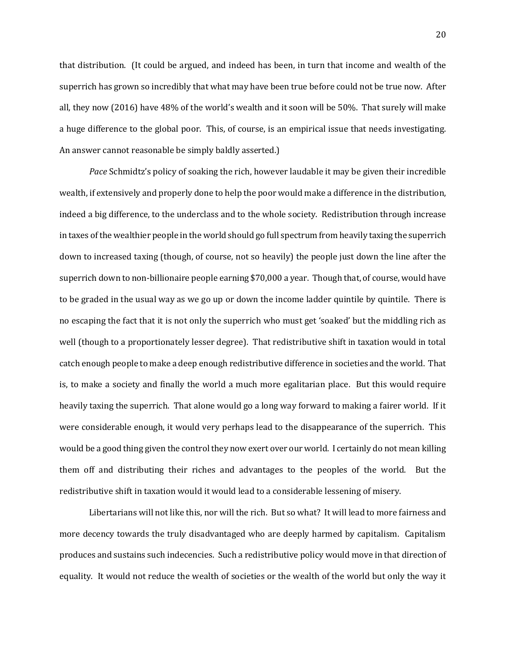that distribution. (It could be argued, and indeed has been, in turn that income and wealth of the superrich has grown so incredibly that what may have been true before could not be true now. After all, they now (2016) have 48% of the world's wealth and it soon will be 50%. That surely will make a huge difference to the global poor. This, of course, is an empirical issue that needs investigating. An answer cannot reasonable be simply baldly asserted.)

*Pace* Schmidtz's policy of soaking the rich, however laudable it may be given their incredible wealth, if extensively and properly done to help the poor would make a difference in the distribution, indeed a big difference, to the underclass and to the whole society. Redistribution through increase in taxes of the wealthier people in the world should go full spectrum from heavily taxing the superrich down to increased taxing (though, of course, not so heavily) the people just down the line after the superrich down to non-billionaire people earning \$70,000 a year. Though that, of course, would have to be graded in the usual way as we go up or down the income ladder quintile by quintile. There is no escaping the fact that it is not only the superrich who must get 'soaked' but the middling rich as well (though to a proportionately lesser degree). That redistributive shift in taxation would in total catch enough people to make a deep enough redistributive difference in societies and the world. That is, to make a society and finally the world a much more egalitarian place. But this would require heavily taxing the superrich. That alone would go a long way forward to making a fairer world. If it were considerable enough, it would very perhaps lead to the disappearance of the superrich. This would be a good thing given the control they now exert over our world. I certainly do not mean killing them off and distributing their riches and advantages to the peoples of the world. But the redistributive shift in taxation would it would lead to a considerable lessening of misery.

Libertarians will not like this, nor will the rich. But so what? It will lead to more fairness and more decency towards the truly disadvantaged who are deeply harmed by capitalism. Capitalism produces and sustains such indecencies. Such a redistributive policy would move in that direction of equality. It would not reduce the wealth of societies or the wealth of the world but only the way it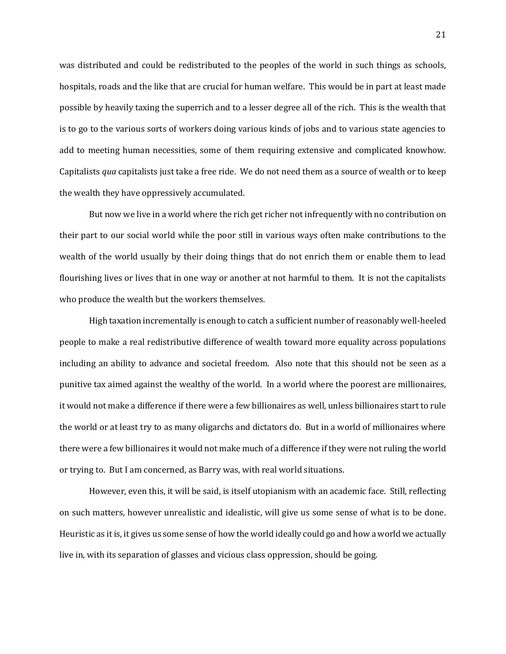was distributed and could be redistributed to the peoples of the world in such things as schools, hospitals, roads and the like that are crucial for human welfare. This would be in part at least made possible by heavily taxing the superrich and to a lesser degree all of the rich. This is the wealth that is to go to the various sorts of workers doing various kinds of jobs and to various state agencies to add to meeting human necessities, some of them requiring extensive and complicated knowhow. Capitalists *qua* capitalists just take a free ride. We do not need them as a source of wealth or to keep the wealth they have oppressively accumulated.

But now we live in a world where the rich get richer not infrequently with no contribution on their part to our social world while the poor still in various ways often make contributions to the wealth of the world usually by their doing things that do not enrich them or enable them to lead flourishing lives or lives that in one way or another at not harmful to them. It is not the capitalists who produce the wealth but the workers themselves.

High taxation incrementally is enough to catch a sufficient number of reasonably well-heeled people to make a real redistributive difference of wealth toward more equality across populations including an ability to advance and societal freedom. Also note that this should not be seen as a punitive tax aimed against the wealthy of the world. In a world where the poorest are millionaires, it would not make a difference if there were a few billionaires as well, unless billionaires start to rule the world or at least try to as many oligarchs and dictators do. But in a world of millionaires where there were a few billionaires it would not make much of a difference if they were not ruling the world or trying to. But I am concerned, as Barry was, with real world situations.

However, even this, it will be said, is itself utopianism with an academic face. Still, reflecting on such matters, however unrealistic and idealistic, will give us some sense of what is to be done. Heuristic as it is, it gives us some sense of how the world ideally could go and how a world we actually live in, with its separation of glasses and vicious class oppression, should be going.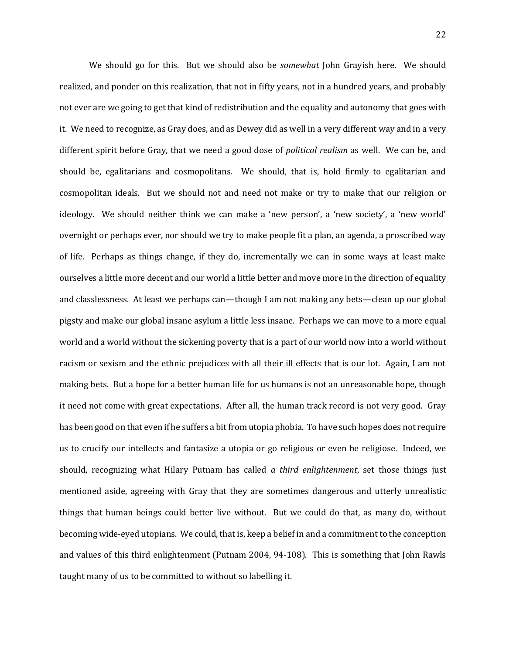We should go for this. But we should also be *somewhat* John Grayish here. We should realized, and ponder on this realization, that not in fifty years, not in a hundred years, and probably not ever are we going to get that kind of redistribution and the equality and autonomy that goes with it. We need to recognize, as Gray does, and as Dewey did as well in a very different way and in a very different spirit before Gray, that we need a good dose of *political realism* as well. We can be, and should be, egalitarians and cosmopolitans. We should, that is, hold firmly to egalitarian and cosmopolitan ideals. But we should not and need not make or try to make that our religion or ideology. We should neither think we can make a 'new person', a 'new society', a 'new world' overnight or perhaps ever, nor should we try to make people fit a plan, an agenda, a proscribed way of life. Perhaps as things change, if they do, incrementally we can in some ways at least make ourselves a little more decent and our world a little better and move more in the direction of equality and classlessness. At least we perhaps can—though I am not making any bets—clean up our global pigsty and make our global insane asylum a little less insane. Perhaps we can move to a more equal world and a world without the sickening poverty that is a part of our world now into a world without racism or sexism and the ethnic prejudices with all their ill effects that is our lot. Again, I am not making bets. But a hope for a better human life for us humans is not an unreasonable hope, though it need not come with great expectations. After all, the human track record is not very good. Gray has been good on that even if he suffers a bit from utopia phobia. To have such hopes does not require us to crucify our intellects and fantasize a utopia or go religious or even be religiose. Indeed, we should, recognizing what Hilary Putnam has called *a third enlightenment*, set those things just mentioned aside, agreeing with Gray that they are sometimes dangerous and utterly unrealistic things that human beings could better live without. But we could do that, as many do, without becoming wide-eyed utopians. We could, that is, keep a belief in and a commitment to the conception and values of this third enlightenment (Putnam 2004, 94-108). This is something that John Rawls taught many of us to be committed to without so labelling it.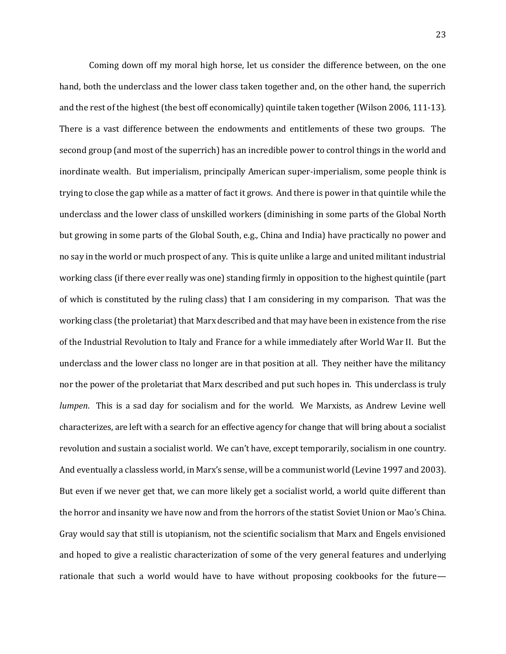Coming down off my moral high horse, let us consider the difference between, on the one hand, both the underclass and the lower class taken together and, on the other hand, the superrich and the rest of the highest (the best off economically) quintile taken together (Wilson 2006, 111-13). There is a vast difference between the endowments and entitlements of these two groups. The second group (and most of the superrich) has an incredible power to control things in the world and inordinate wealth. But imperialism, principally American super-imperialism, some people think is trying to close the gap while as a matter of fact it grows. And there is power in that quintile while the underclass and the lower class of unskilled workers (diminishing in some parts of the Global North but growing in some parts of the Global South, e.g., China and India) have practically no power and no say in the world or much prospect of any. This is quite unlike a large and united militant industrial working class (if there ever really was one) standing firmly in opposition to the highest quintile (part of which is constituted by the ruling class) that I am considering in my comparison. That was the working class (the proletariat) that Marx described and that may have been in existence from the rise of the Industrial Revolution to Italy and France for a while immediately after World War II. But the underclass and the lower class no longer are in that position at all. They neither have the militancy nor the power of the proletariat that Marx described and put such hopes in. This underclass is truly *lumpen*. This is a sad day for socialism and for the world. We Marxists, as Andrew Levine well characterizes, are left with a search for an effective agency for change that will bring about a socialist revolution and sustain a socialist world. We can't have, except temporarily, socialism in one country. And eventually a classless world, in Marx's sense, will be a communist world (Levine 1997 and 2003). But even if we never get that, we can more likely get a socialist world, a world quite different than the horror and insanity we have now and from the horrors of the statist Soviet Union or Mao's China. Gray would say that still is utopianism, not the scientific socialism that Marx and Engels envisioned and hoped to give a realistic characterization of some of the very general features and underlying rationale that such a world would have to have without proposing cookbooks for the future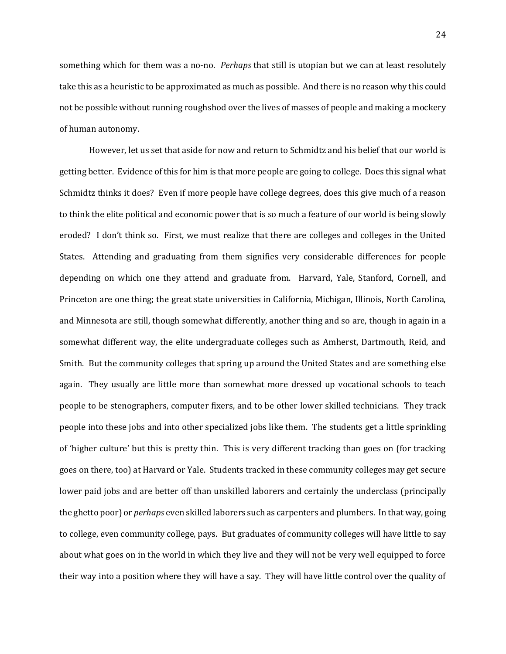something which for them was a no-no. *Perhaps* that still is utopian but we can at least resolutely take this as a heuristic to be approximated as much as possible. And there is no reason why this could not be possible without running roughshod over the lives of masses of people and making a mockery of human autonomy.

However, let us set that aside for now and return to Schmidtz and his belief that our world is getting better. Evidence of this for him is that more people are going to college. Does this signal what Schmidtz thinks it does? Even if more people have college degrees, does this give much of a reason to think the elite political and economic power that is so much a feature of our world is being slowly eroded? I don't think so. First, we must realize that there are colleges and colleges in the United States. Attending and graduating from them signifies very considerable differences for people depending on which one they attend and graduate from. Harvard, Yale, Stanford, Cornell, and Princeton are one thing; the great state universities in California, Michigan, Illinois, North Carolina, and Minnesota are still, though somewhat differently, another thing and so are, though in again in a somewhat different way, the elite undergraduate colleges such as Amherst, Dartmouth, Reid, and Smith. But the community colleges that spring up around the United States and are something else again. They usually are little more than somewhat more dressed up vocational schools to teach people to be stenographers, computer fixers, and to be other lower skilled technicians. They track people into these jobs and into other specialized jobs like them. The students get a little sprinkling of 'higher culture' but this is pretty thin. This is very different tracking than goes on (for tracking goes on there, too) at Harvard or Yale. Students tracked in these community colleges may get secure lower paid jobs and are better off than unskilled laborers and certainly the underclass (principally the ghetto poor) or *perhaps* even skilled laborers such as carpenters and plumbers. In that way, going to college, even community college, pays. But graduates of community colleges will have little to say about what goes on in the world in which they live and they will not be very well equipped to force their way into a position where they will have a say. They will have little control over the quality of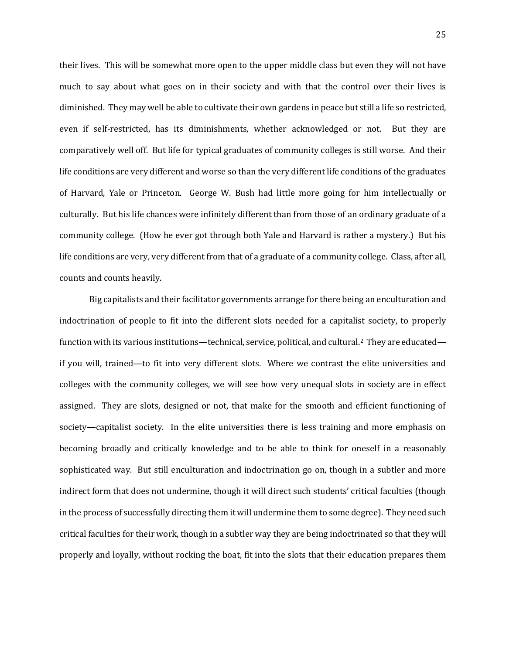their lives. This will be somewhat more open to the upper middle class but even they will not have much to say about what goes on in their society and with that the control over their lives is diminished. They may well be able to cultivate their own gardens in peace but still a life so restricted, even if self-restricted, has its diminishments, whether acknowledged or not. But they are comparatively well off. But life for typical graduates of community colleges is still worse. And their life conditions are very different and worse so than the very different life conditions of the graduates of Harvard, Yale or Princeton. George W. Bush had little more going for him intellectually or culturally. But his life chances were infinitely different than from those of an ordinary graduate of a community college. (How he ever got through both Yale and Harvard is rather a mystery.) But his life conditions are very, very different from that of a graduate of a community college. Class, after all, counts and counts heavily.

Big capitalists and their facilitator governments arrange for there being an enculturation and indoctrination of people to fit into the different slots needed for a capitalist society, to properly function with its various institutions—technical, service, political, and cultural.2 They are educated if you will, trained—to fit into very different slots. Where we contrast the elite universities and colleges with the community colleges, we will see how very unequal slots in society are in effect assigned. They are slots, designed or not, that make for the smooth and efficient functioning of society—capitalist society. In the elite universities there is less training and more emphasis on becoming broadly and critically knowledge and to be able to think for oneself in a reasonably sophisticated way. But still enculturation and indoctrination go on, though in a subtler and more indirect form that does not undermine, though it will direct such students' critical faculties (though in the process of successfully directing them it will undermine them to some degree). They need such critical faculties for their work, though in a subtler way they are being indoctrinated so that they will properly and loyally, without rocking the boat, fit into the slots that their education prepares them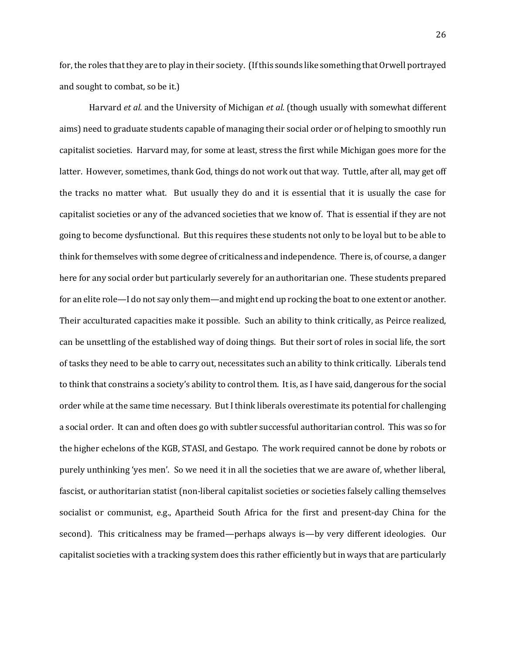for, the roles that they are to play in their society. (If this sounds like something that Orwell portrayed and sought to combat, so be it.)

Harvard *et al.* and the University of Michigan *et al.* (though usually with somewhat different aims) need to graduate students capable of managing their social order or of helping to smoothly run capitalist societies. Harvard may, for some at least, stress the first while Michigan goes more for the latter. However, sometimes, thank God, things do not work out that way. Tuttle, after all, may get off the tracks no matter what. But usually they do and it is essential that it is usually the case for capitalist societies or any of the advanced societies that we know of. That is essential if they are not going to become dysfunctional. But this requires these students not only to be loyal but to be able to think for themselves with some degree of criticalness and independence. There is, of course, a danger here for any social order but particularly severely for an authoritarian one. These students prepared for an elite role—I do not say only them—and might end up rocking the boat to one extent or another. Their acculturated capacities make it possible. Such an ability to think critically, as Peirce realized, can be unsettling of the established way of doing things. But their sort of roles in social life, the sort of tasks they need to be able to carry out, necessitates such an ability to think critically. Liberals tend to think that constrains a society's ability to control them. It is, as I have said, dangerous for the social order while at the same time necessary. But I think liberals overestimate its potential for challenging a social order. It can and often does go with subtler successful authoritarian control. This was so for the higher echelons of the KGB, STASI, and Gestapo. The work required cannot be done by robots or purely unthinking 'yes men'. So we need it in all the societies that we are aware of, whether liberal, fascist, or authoritarian statist (non-liberal capitalist societies or societies falsely calling themselves socialist or communist, e.g., Apartheid South Africa for the first and present-day China for the second). This criticalness may be framed—perhaps always is—by very different ideologies. Our capitalist societies with a tracking system does this rather efficiently but in ways that are particularly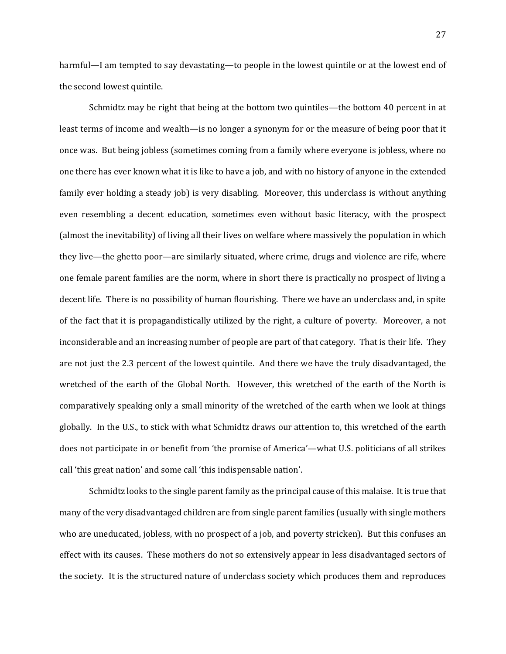harmful—I am tempted to say devastating—to people in the lowest quintile or at the lowest end of the second lowest quintile.

Schmidtz may be right that being at the bottom two quintiles—the bottom 40 percent in at least terms of income and wealth—is no longer a synonym for or the measure of being poor that it once was. But being jobless (sometimes coming from a family where everyone is jobless, where no one there has ever known what it is like to have a job, and with no history of anyone in the extended family ever holding a steady job) is very disabling. Moreover, this underclass is without anything even resembling a decent education, sometimes even without basic literacy, with the prospect (almost the inevitability) of living all their lives on welfare where massively the population in which they live—the ghetto poor—are similarly situated, where crime, drugs and violence are rife, where one female parent families are the norm, where in short there is practically no prospect of living a decent life. There is no possibility of human flourishing. There we have an underclass and, in spite of the fact that it is propagandistically utilized by the right, a culture of poverty. Moreover, a not inconsiderable and an increasing number of people are part of that category. That is their life. They are not just the 2.3 percent of the lowest quintile. And there we have the truly disadvantaged, the wretched of the earth of the Global North. However, this wretched of the earth of the North is comparatively speaking only a small minority of the wretched of the earth when we look at things globally. In the U.S., to stick with what Schmidtz draws our attention to, this wretched of the earth does not participate in or benefit from 'the promise of America'—what U.S. politicians of all strikes call 'this great nation' and some call 'this indispensable nation'.

Schmidtz looks to the single parent family as the principal cause of this malaise. It is true that many of the very disadvantaged children are from single parent families (usually with single mothers who are uneducated, jobless, with no prospect of a job, and poverty stricken). But this confuses an effect with its causes. These mothers do not so extensively appear in less disadvantaged sectors of the society. It is the structured nature of underclass society which produces them and reproduces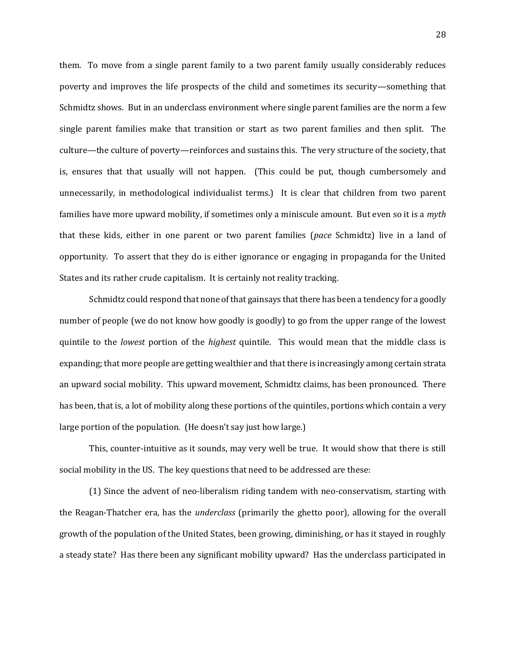them. To move from a single parent family to a two parent family usually considerably reduces poverty and improves the life prospects of the child and sometimes its security—something that Schmidtz shows. But in an underclass environment where single parent families are the norm a few single parent families make that transition or start as two parent families and then split. The culture—the culture of poverty—reinforces and sustains this. The very structure of the society, that is, ensures that that usually will not happen. (This could be put, though cumbersomely and unnecessarily, in methodological individualist terms.) It is clear that children from two parent families have more upward mobility, if sometimes only a miniscule amount. But even so it is a *myth* that these kids, either in one parent or two parent families (*pace* Schmidtz) live in a land of opportunity. To assert that they do is either ignorance or engaging in propaganda for the United States and its rather crude capitalism. It is certainly not reality tracking.

Schmidtz could respond that none of that gainsays that there has been a tendency for a goodly number of people (we do not know how goodly is goodly) to go from the upper range of the lowest quintile to the *lowest* portion of the *highest* quintile. This would mean that the middle class is expanding; that more people are getting wealthier and that there is increasingly among certain strata an upward social mobility. This upward movement, Schmidtz claims, has been pronounced. There has been, that is, a lot of mobility along these portions of the quintiles, portions which contain a very large portion of the population. (He doesn't say just how large.)

This, counter-intuitive as it sounds, may very well be true. It would show that there is still social mobility in the US. The key questions that need to be addressed are these:

(1) Since the advent of neo-liberalism riding tandem with neo-conservatism, starting with the Reagan-Thatcher era, has the *underclass* (primarily the ghetto poor), allowing for the overall growth of the population of the United States, been growing, diminishing, or has it stayed in roughly a steady state? Has there been any significant mobility upward? Has the underclass participated in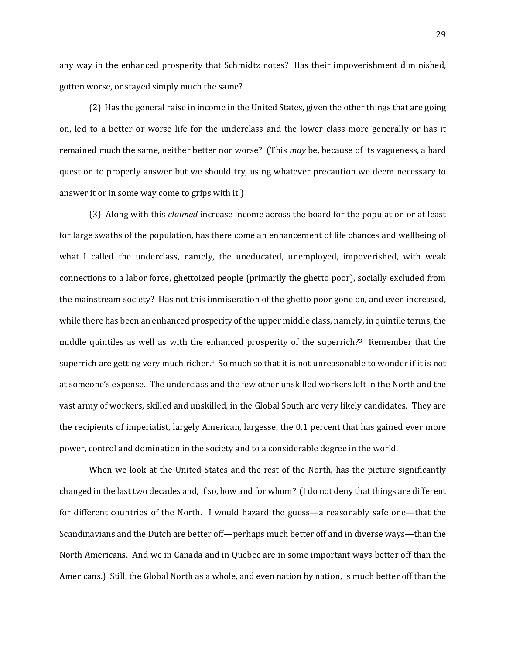any way in the enhanced prosperity that Schmidtz notes? Has their impoverishment diminished, gotten worse, or stayed simply much the same?

(2) Has the general raise in income in the United States, given the other things that are going on, led to a better or worse life for the underclass and the lower class more generally or has it remained much the same, neither better nor worse? (This *may* be, because of its vagueness, a hard question to properly answer but we should try, using whatever precaution we deem necessary to answer it or in some way come to grips with it.)

(3) Along with this *claimed* increase income across the board for the population or at least for large swaths of the population, has there come an enhancement of life chances and wellbeing of what I called the underclass, namely, the uneducated, unemployed, impoverished, with weak connections to a labor force, ghettoized people (primarily the ghetto poor), socially excluded from the mainstream society? Has not this immiseration of the ghetto poor gone on, and even increased, while there has been an enhanced prosperity of the upper middle class, namely, in quintile terms, the middle quintiles as well as with the enhanced prosperity of the superrich?3 Remember that the superrich are getting very much richer.4 So much so that it is not unreasonable to wonder if it is not at someone's expense. The underclass and the few other unskilled workers left in the North and the vast army of workers, skilled and unskilled, in the Global South are very likely candidates. They are the recipients of imperialist, largely American, largesse, the 0.1 percent that has gained ever more power, control and domination in the society and to a considerable degree in the world.

When we look at the United States and the rest of the North, has the picture significantly changed in the last two decades and, if so, how and for whom? (I do not deny that things are different for different countries of the North. I would hazard the guess—a reasonably safe one—that the Scandinavians and the Dutch are better off—perhaps much better off and in diverse ways—than the North Americans. And we in Canada and in Quebec are in some important ways better off than the Americans.) Still, the Global North as a whole, and even nation by nation, is much better off than the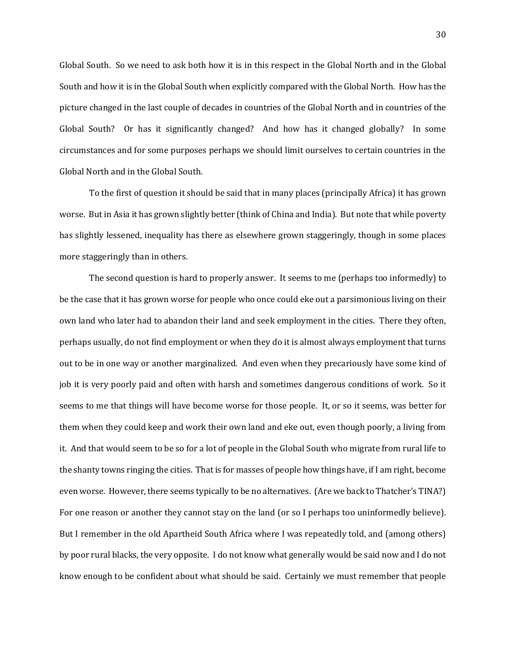Global South. So we need to ask both how it is in this respect in the Global North and in the Global South and how it is in the Global South when explicitly compared with the Global North. How has the picture changed in the last couple of decades in countries of the Global North and in countries of the Global South? Or has it significantly changed? And how has it changed globally? In some circumstances and for some purposes perhaps we should limit ourselves to certain countries in the Global North and in the Global South.

To the first of question it should be said that in many places (principally Africa) it has grown worse. But in Asia it has grown slightly better (think of China and India). But note that while poverty has slightly lessened, inequality has there as elsewhere grown staggeringly, though in some places more staggeringly than in others.

The second question is hard to properly answer. It seems to me (perhaps too informedly) to be the case that it has grown worse for people who once could eke out a parsimonious living on their own land who later had to abandon their land and seek employment in the cities. There they often, perhaps usually, do not find employment or when they do it is almost always employment that turns out to be in one way or another marginalized. And even when they precariously have some kind of job it is very poorly paid and often with harsh and sometimes dangerous conditions of work. So it seems to me that things will have become worse for those people. It, or so it seems, was better for them when they could keep and work their own land and eke out, even though poorly, a living from it. And that would seem to be so for a lot of people in the Global South who migrate from rural life to the shanty towns ringing the cities. That is for masses of people how things have, if I am right, become even worse. However, there seems typically to be no alternatives. (Are we back to Thatcher's TINA?) For one reason or another they cannot stay on the land (or so I perhaps too uninformedly believe). But I remember in the old Apartheid South Africa where I was repeatedly told, and (among others) by poor rural blacks, the very opposite. I do not know what generally would be said now and I do not know enough to be confident about what should be said. Certainly we must remember that people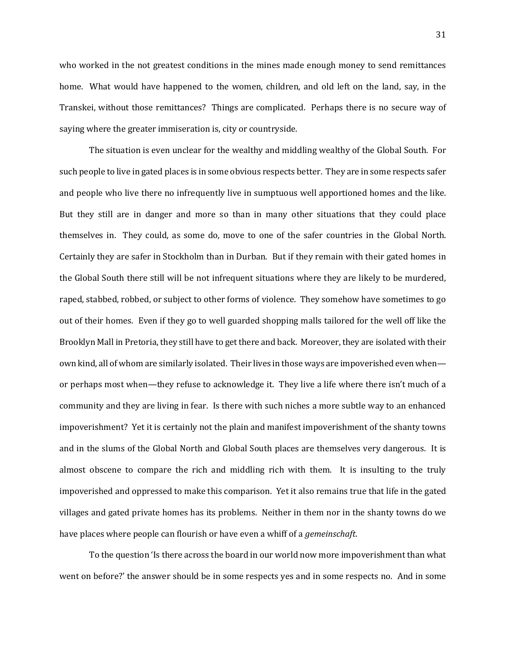who worked in the not greatest conditions in the mines made enough money to send remittances home. What would have happened to the women, children, and old left on the land, say, in the Transkei, without those remittances? Things are complicated. Perhaps there is no secure way of saying where the greater immiseration is, city or countryside.

The situation is even unclear for the wealthy and middling wealthy of the Global South. For such people to live in gated places is in some obvious respects better. They are in some respects safer and people who live there no infrequently live in sumptuous well apportioned homes and the like. But they still are in danger and more so than in many other situations that they could place themselves in. They could, as some do, move to one of the safer countries in the Global North. Certainly they are safer in Stockholm than in Durban. But if they remain with their gated homes in the Global South there still will be not infrequent situations where they are likely to be murdered, raped, stabbed, robbed, or subject to other forms of violence. They somehow have sometimes to go out of their homes. Even if they go to well guarded shopping malls tailored for the well off like the Brooklyn Mall in Pretoria, they still have to get there and back. Moreover, they are isolated with their own kind, all of whom are similarly isolated. Their lives in those ways are impoverished even when or perhaps most when—they refuse to acknowledge it. They live a life where there isn't much of a community and they are living in fear. Is there with such niches a more subtle way to an enhanced impoverishment? Yet it is certainly not the plain and manifest impoverishment of the shanty towns and in the slums of the Global North and Global South places are themselves very dangerous. It is almost obscene to compare the rich and middling rich with them. It is insulting to the truly impoverished and oppressed to make this comparison. Yet it also remains true that life in the gated villages and gated private homes has its problems. Neither in them nor in the shanty towns do we have places where people can flourish or have even a whiff of a *gemeinschaft*.

To the question 'Is there across the board in our world now more impoverishment than what went on before?' the answer should be in some respects yes and in some respects no. And in some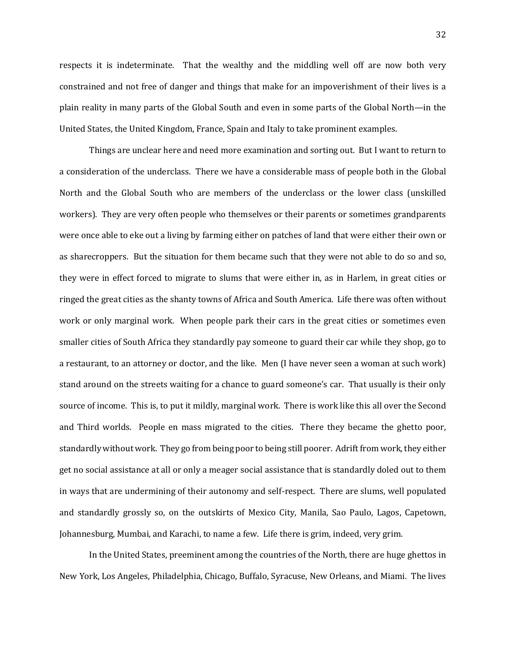respects it is indeterminate. That the wealthy and the middling well off are now both very constrained and not free of danger and things that make for an impoverishment of their lives is a plain reality in many parts of the Global South and even in some parts of the Global North—in the United States, the United Kingdom, France, Spain and Italy to take prominent examples.

Things are unclear here and need more examination and sorting out. But I want to return to a consideration of the underclass. There we have a considerable mass of people both in the Global North and the Global South who are members of the underclass or the lower class (unskilled workers). They are very often people who themselves or their parents or sometimes grandparents were once able to eke out a living by farming either on patches of land that were either their own or as sharecroppers. But the situation for them became such that they were not able to do so and so, they were in effect forced to migrate to slums that were either in, as in Harlem, in great cities or ringed the great cities as the shanty towns of Africa and South America. Life there was often without work or only marginal work. When people park their cars in the great cities or sometimes even smaller cities of South Africa they standardly pay someone to guard their car while they shop, go to a restaurant, to an attorney or doctor, and the like. Men (I have never seen a woman at such work) stand around on the streets waiting for a chance to guard someone's car. That usually is their only source of income. This is, to put it mildly, marginal work. There is work like this all over the Second and Third worlds. People en mass migrated to the cities. There they became the ghetto poor, standardly without work. They go from being poor to being still poorer. Adrift from work, they either get no social assistance at all or only a meager social assistance that is standardly doled out to them in ways that are undermining of their autonomy and self-respect. There are slums, well populated and standardly grossly so, on the outskirts of Mexico City, Manila, Sao Paulo, Lagos, Capetown, Johannesburg, Mumbai, and Karachi, to name a few. Life there is grim, indeed, very grim.

In the United States, preeminent among the countries of the North, there are huge ghettos in New York, Los Angeles, Philadelphia, Chicago, Buffalo, Syracuse, New Orleans, and Miami. The lives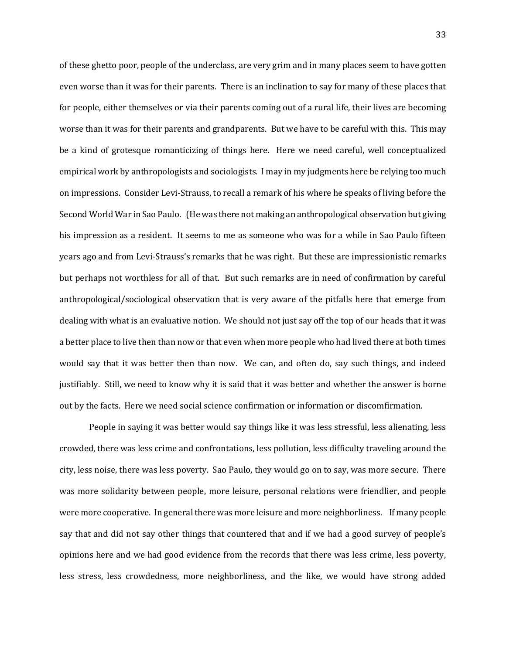of these ghetto poor, people of the underclass, are very grim and in many places seem to have gotten even worse than it was for their parents. There is an inclination to say for many of these places that for people, either themselves or via their parents coming out of a rural life, their lives are becoming worse than it was for their parents and grandparents. But we have to be careful with this. This may be a kind of grotesque romanticizing of things here. Here we need careful, well conceptualized empirical work by anthropologists and sociologists. I may in my judgments here be relying too much on impressions. Consider Levi-Strauss, to recall a remark of his where he speaks of living before the Second World War in Sao Paulo. (He was there not making an anthropological observation but giving his impression as a resident. It seems to me as someone who was for a while in Sao Paulo fifteen years ago and from Levi-Strauss's remarks that he was right. But these are impressionistic remarks but perhaps not worthless for all of that. But such remarks are in need of confirmation by careful anthropological/sociological observation that is very aware of the pitfalls here that emerge from dealing with what is an evaluative notion. We should not just say off the top of our heads that it was a better place to live then than now or that even when more people who had lived there at both times would say that it was better then than now. We can, and often do, say such things, and indeed justifiably. Still, we need to know why it is said that it was better and whether the answer is borne out by the facts. Here we need social science confirmation or information or discomfirmation.

People in saying it was better would say things like it was less stressful, less alienating, less crowded, there was less crime and confrontations, less pollution, less difficulty traveling around the city, less noise, there was less poverty. Sao Paulo, they would go on to say, was more secure. There was more solidarity between people, more leisure, personal relations were friendlier, and people were more cooperative. In general there was more leisure and more neighborliness. If many people say that and did not say other things that countered that and if we had a good survey of people's opinions here and we had good evidence from the records that there was less crime, less poverty, less stress, less crowdedness, more neighborliness, and the like, we would have strong added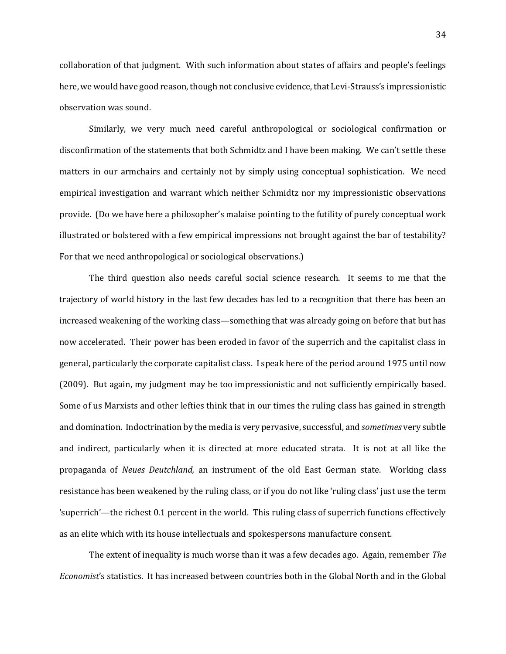collaboration of that judgment. With such information about states of affairs and people's feelings here, we would have good reason, though not conclusive evidence, that Levi-Strauss's impressionistic observation was sound.

Similarly, we very much need careful anthropological or sociological confirmation or disconfirmation of the statements that both Schmidtz and I have been making. We can't settle these matters in our armchairs and certainly not by simply using conceptual sophistication. We need empirical investigation and warrant which neither Schmidtz nor my impressionistic observations provide. (Do we have here a philosopher's malaise pointing to the futility of purely conceptual work illustrated or bolstered with a few empirical impressions not brought against the bar of testability? For that we need anthropological or sociological observations.)

The third question also needs careful social science research. It seems to me that the trajectory of world history in the last few decades has led to a recognition that there has been an increased weakening of the working class—something that was already going on before that but has now accelerated. Their power has been eroded in favor of the superrich and the capitalist class in general, particularly the corporate capitalist class. I speak here of the period around 1975 until now (2009). But again, my judgment may be too impressionistic and not sufficiently empirically based. Some of us Marxists and other lefties think that in our times the ruling class has gained in strength and domination. Indoctrination by the media is very pervasive, successful, and *sometimes* very subtle and indirect, particularly when it is directed at more educated strata. It is not at all like the propaganda of *Neues Deutchland,* an instrument of the old East German state. Working class resistance has been weakened by the ruling class, or if you do not like 'ruling class' just use the term 'superrich'—the richest 0.1 percent in the world. This ruling class of superrich functions effectively as an elite which with its house intellectuals and spokespersons manufacture consent.

The extent of inequality is much worse than it was a few decades ago. Again, remember *The Economist*'s statistics. It has increased between countries both in the Global North and in the Global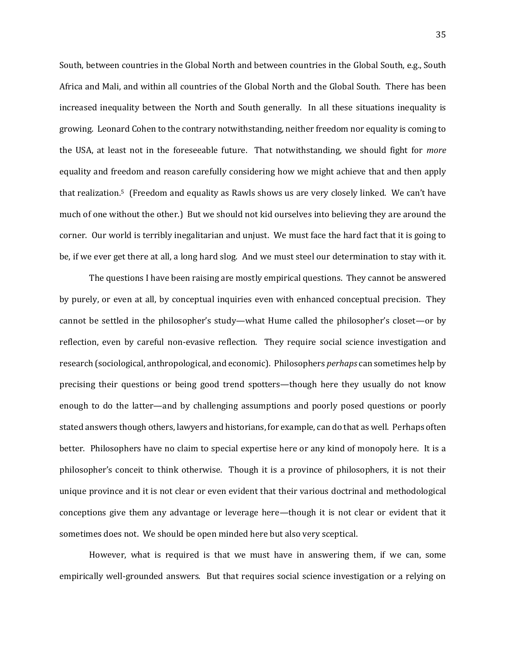South, between countries in the Global North and between countries in the Global South, e.g., South Africa and Mali, and within all countries of the Global North and the Global South. There has been increased inequality between the North and South generally. In all these situations inequality is growing. Leonard Cohen to the contrary notwithstanding, neither freedom nor equality is coming to the USA, at least not in the foreseeable future. That notwithstanding, we should fight for *more*  equality and freedom and reason carefully considering how we might achieve that and then apply that realization.<sup>5</sup> (Freedom and equality as Rawls shows us are very closely linked. We can't have much of one without the other.) But we should not kid ourselves into believing they are around the corner. Our world is terribly inegalitarian and unjust. We must face the hard fact that it is going to be, if we ever get there at all, a long hard slog. And we must steel our determination to stay with it.

The questions I have been raising are mostly empirical questions. They cannot be answered by purely, or even at all, by conceptual inquiries even with enhanced conceptual precision. They cannot be settled in the philosopher's study—what Hume called the philosopher's closet—or by reflection, even by careful non-evasive reflection. They require social science investigation and research (sociological, anthropological, and economic). Philosophers *perhaps* can sometimes help by precising their questions or being good trend spotters—though here they usually do not know enough to do the latter—and by challenging assumptions and poorly posed questions or poorly stated answers though others, lawyers and historians, for example, can do that as well. Perhaps often better. Philosophers have no claim to special expertise here or any kind of monopoly here. It is a philosopher's conceit to think otherwise. Though it is a province of philosophers, it is not their unique province and it is not clear or even evident that their various doctrinal and methodological conceptions give them any advantage or leverage here—though it is not clear or evident that it sometimes does not. We should be open minded here but also very sceptical.

However, what is required is that we must have in answering them, if we can, some empirically well-grounded answers. But that requires social science investigation or a relying on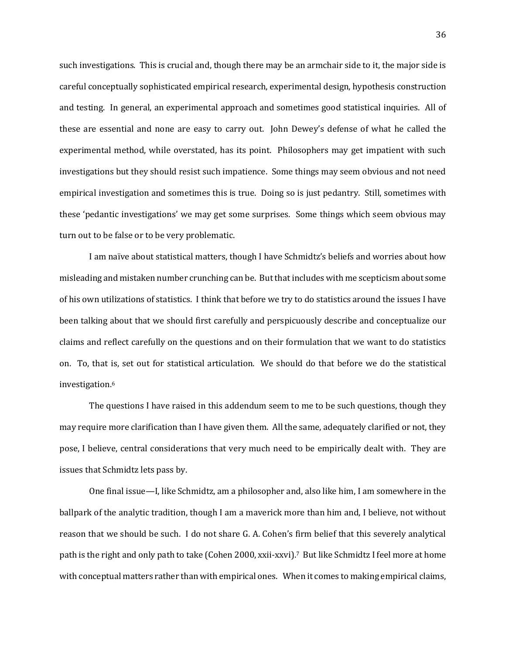such investigations. This is crucial and, though there may be an armchair side to it, the major side is careful conceptually sophisticated empirical research, experimental design, hypothesis construction and testing. In general, an experimental approach and sometimes good statistical inquiries. All of these are essential and none are easy to carry out. John Dewey's defense of what he called the experimental method, while overstated, has its point. Philosophers may get impatient with such investigations but they should resist such impatience. Some things may seem obvious and not need empirical investigation and sometimes this is true. Doing so is just pedantry. Still, sometimes with these 'pedantic investigations' we may get some surprises. Some things which seem obvious may turn out to be false or to be very problematic.

I am naïve about statistical matters, though I have Schmidtz's beliefs and worries about how misleading and mistaken number crunching can be. But that includes with me scepticism about some of his own utilizations of statistics. I think that before we try to do statistics around the issues I have been talking about that we should first carefully and perspicuously describe and conceptualize our claims and reflect carefully on the questions and on their formulation that we want to do statistics on. To, that is, set out for statistical articulation. We should do that before we do the statistical investigation.<sup>6</sup>

The questions I have raised in this addendum seem to me to be such questions, though they may require more clarification than I have given them. All the same, adequately clarified or not, they pose, I believe, central considerations that very much need to be empirically dealt with. They are issues that Schmidtz lets pass by.

One final issue—I, like Schmidtz, am a philosopher and, also like him, I am somewhere in the ballpark of the analytic tradition, though I am a maverick more than him and, I believe, not without reason that we should be such. I do not share G. A. Cohen's firm belief that this severely analytical path is the right and only path to take (Cohen 2000, xxii-xxvi).7 But like Schmidtz I feel more at home with conceptual matters rather than with empirical ones. When it comes to making empirical claims,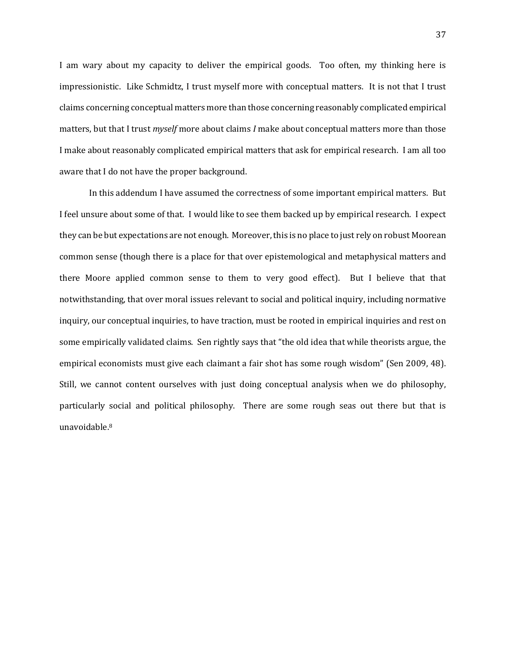I am wary about my capacity to deliver the empirical goods. Too often, my thinking here is impressionistic. Like Schmidtz, I trust myself more with conceptual matters. It is not that I trust claims concerning conceptual matters more than those concerning reasonably complicated empirical matters, but that I trust *myself* more about claims *I* make about conceptual matters more than those I make about reasonably complicated empirical matters that ask for empirical research. I am all too aware that I do not have the proper background.

In this addendum I have assumed the correctness of some important empirical matters. But I feel unsure about some of that. I would like to see them backed up by empirical research. I expect they can be but expectations are not enough. Moreover, this is no place to just rely on robust Moorean common sense (though there is a place for that over epistemological and metaphysical matters and there Moore applied common sense to them to very good effect). But I believe that that notwithstanding, that over moral issues relevant to social and political inquiry, including normative inquiry, our conceptual inquiries, to have traction, must be rooted in empirical inquiries and rest on some empirically validated claims. Sen rightly says that "the old idea that while theorists argue, the empirical economists must give each claimant a fair shot has some rough wisdom" (Sen 2009, 48). Still, we cannot content ourselves with just doing conceptual analysis when we do philosophy, particularly social and political philosophy. There are some rough seas out there but that is unavoidable.8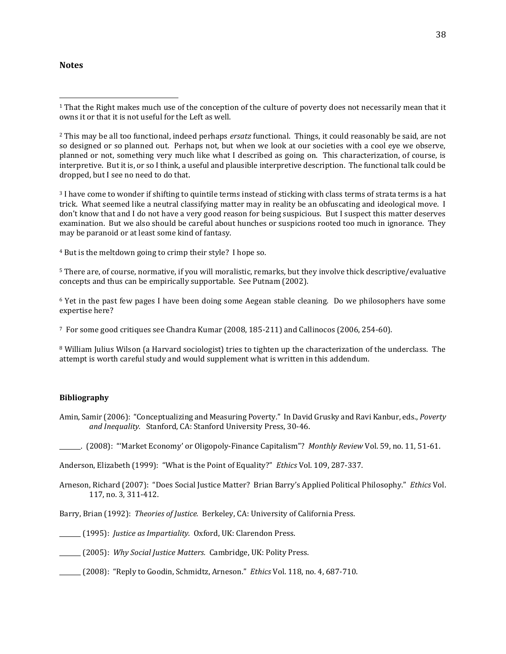## **Notes**

 $\overline{a}$ 

<sup>2</sup> This may be all too functional, indeed perhaps *ersatz* functional. Things, it could reasonably be said, are not so designed or so planned out. Perhaps not, but when we look at our societies with a cool eye we observe, planned or not, something very much like what I described as going on. This characterization, of course, is interpretive. But it is, or so I think, a useful and plausible interpretive description. The functional talk could be dropped, but I see no need to do that.

<sup>3</sup> I have come to wonder if shifting to quintile terms instead of sticking with class terms of strata terms is a hat trick. What seemed like a neutral classifying matter may in reality be an obfuscating and ideological move. I don't know that and I do not have a very good reason for being suspicious. But I suspect this matter deserves examination. But we also should be careful about hunches or suspicions rooted too much in ignorance. They may be paranoid or at least some kind of fantasy.

<sup>4</sup> But is the meltdown going to crimp their style? I hope so.

<sup>5</sup> There are, of course, normative, if you will moralistic, remarks, but they involve thick descriptive/evaluative concepts and thus can be empirically supportable. See Putnam (2002).

<sup>6</sup> Yet in the past few pages I have been doing some Aegean stable cleaning. Do we philosophers have some expertise here?

<sup>7</sup> For some good critiques see Chandra Kumar (2008, 185-211) and Callinocos (2006, 254-60).

<sup>8</sup> William Julius Wilson (a Harvard sociologist) tries to tighten up the characterization of the underclass. The attempt is worth careful study and would supplement what is written in this addendum.

## **Bibliography**

Amin, Samir (2006): "Conceptualizing and Measuring Poverty." In David Grusky and Ravi Kanbur, eds., *Poverty and Inequality.* Stanford, CA: Stanford University Press, 30-46.

\_\_\_\_\_\_\_. (2008): "'Market Economy' or Oligopoly-Finance Capitalism"? *Monthly Review* Vol. 59, no. 11, 51-61.

Anderson, Elizabeth (1999): "What is the Point of Equality?" *Ethics* Vol. 109, 287-337.

Arneson, Richard (2007): "Does Social Justice Matter? Brian Barry's Applied Political Philosophy." *Ethics* Vol. 117, no. 3, 311-412.

Barry, Brian (1992): *Theories of Justice.* Berkeley, CA: University of California Press.

\_\_\_\_\_\_\_ (1995): *Justice as Impartiality.* Oxford, UK: Clarendon Press.

\_\_\_\_\_\_\_ (2005): *Why Social Justice Matters.* Cambridge, UK: Polity Press.

\_\_\_\_\_\_\_ (2008): "Reply to Goodin, Schmidtz, Arneson." *Ethics* Vol. 118, no. 4, 687-710.

<sup>1</sup> That the Right makes much use of the conception of the culture of poverty does not necessarily mean that it owns it or that it is not useful for the Left as well.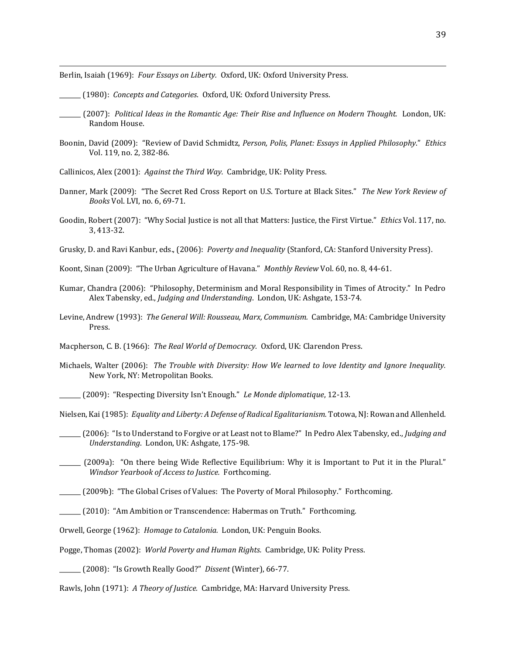Berlin, Isaiah (1969): *Four Essays on Liberty.* Oxford, UK: Oxford University Press.

\_\_\_\_\_\_\_ (1980): *Concepts and Categories*. Oxford, UK: Oxford University Press.

 $\overline{a}$ 

- \_\_\_\_\_\_\_ (2007): *Political Ideas in the Romantic Age: Their Rise and Influence on Modern Thought.* London, UK: Random House.
- Boonin, David (2009): "Review of David Schmidtz, *Person, Polis, Planet: Essays in Applied Philosophy*." *Ethics* Vol. 119, no. 2, 382-86.
- Callinicos, Alex (2001): *Against the Third Way.* Cambridge, UK: Polity Press.
- Danner, Mark (2009): "The Secret Red Cross Report on U.S. Torture at Black Sites." *The New York Review of Books* Vol. LVI, no. 6, 69-71.
- Goodin, Robert (2007): "Why Social Justice is not all that Matters: Justice, the First Virtue." *Ethics* Vol. 117, no. 3, 413-32.
- Grusky, D. and Ravi Kanbur, eds., (2006): *Poverty and Inequality* (Stanford, CA: Stanford University Press).

Koont, Sinan (2009): "The Urban Agriculture of Havana." *Monthly Review* Vol. 60, no. 8, 44-61.

- Kumar, Chandra (2006): "Philosophy, Determinism and Moral Responsibility in Times of Atrocity." In Pedro Alex Tabensky, ed., *Judging and Understanding*. London, UK: Ashgate, 153-74.
- Levine, Andrew (1993): *The General Will: Rousseau, Marx, Communism.* Cambridge, MA: Cambridge University Press.

Macpherson, C. B. (1966): *The Real World of Democracy.* Oxford, UK: Clarendon Press.

- Michaels, Walter (2006): *The Trouble with Diversity: How We learned to love Identity and Ignore Inequality.* New York, NY: Metropolitan Books.
- \_\_\_\_\_\_\_ (2009): "Respecting Diversity Isn't Enough." *Le Monde diplomatique*, 12-13.

Nielsen, Kai (1985): *Equality and Liberty: A Defense of Radical Egalitarianism.* Totowa, NJ: Rowan and Allenheld.

- \_\_\_\_\_\_\_ (2006): "Is to Understand to Forgive or at Least not to Blame?" In Pedro Alex Tabensky, ed., *Judging and Understanding*. London, UK: Ashgate, 175-98.
- \_\_\_\_\_\_\_ (2009a): "On there being Wide Reflective Equilibrium: Why it is Important to Put it in the Plural." *Windsor Yearbook of Access to Justice.* Forthcoming.

\_\_\_\_\_\_\_ (2009b): "The Global Crises of Values: The Poverty of Moral Philosophy." Forthcoming.

\_\_\_\_\_\_\_ (2010): "Am Ambition or Transcendence: Habermas on Truth." Forthcoming.

Orwell, George (1962): *Homage to Catalonia.* London, UK: Penguin Books.

Pogge, Thomas (2002): *World Poverty and Human Rights.* Cambridge, UK: Polity Press.

\_\_\_\_\_\_\_ (2008): "Is Growth Really Good?" *Dissent* (Winter), 66-77.

Rawls, John (1971): *A Theory of Justice.* Cambridge, MA: Harvard University Press.